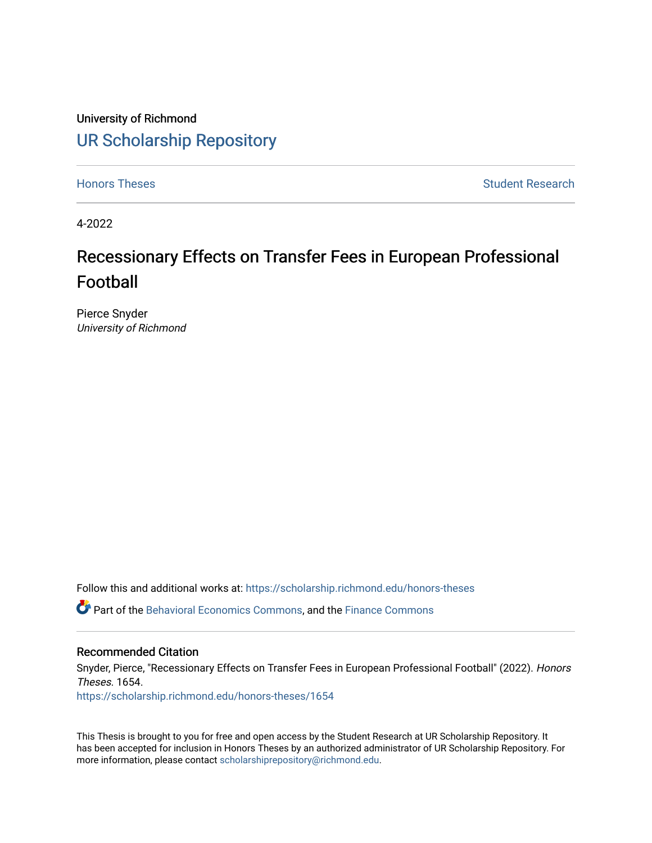University of Richmond [UR Scholarship Repository](https://scholarship.richmond.edu/) 

[Honors Theses](https://scholarship.richmond.edu/honors-theses) **Student Research Honors** Theses Student Research

4-2022

# Recessionary Effects on Transfer Fees in European Professional Football

Pierce Snyder University of Richmond

Follow this and additional works at: [https://scholarship.richmond.edu/honors-theses](https://scholarship.richmond.edu/honors-theses?utm_source=scholarship.richmond.edu%2Fhonors-theses%2F1654&utm_medium=PDF&utm_campaign=PDFCoverPages)

Part of the [Behavioral Economics Commons](https://network.bepress.com/hgg/discipline/341?utm_source=scholarship.richmond.edu%2Fhonors-theses%2F1654&utm_medium=PDF&utm_campaign=PDFCoverPages), and the [Finance Commons](https://network.bepress.com/hgg/discipline/345?utm_source=scholarship.richmond.edu%2Fhonors-theses%2F1654&utm_medium=PDF&utm_campaign=PDFCoverPages) 

# Recommended Citation

Snyder, Pierce, "Recessionary Effects on Transfer Fees in European Professional Football" (2022). Honors Theses. 1654.

[https://scholarship.richmond.edu/honors-theses/1654](https://scholarship.richmond.edu/honors-theses/1654?utm_source=scholarship.richmond.edu%2Fhonors-theses%2F1654&utm_medium=PDF&utm_campaign=PDFCoverPages) 

This Thesis is brought to you for free and open access by the Student Research at UR Scholarship Repository. It has been accepted for inclusion in Honors Theses by an authorized administrator of UR Scholarship Repository. For more information, please contact [scholarshiprepository@richmond.edu](mailto:scholarshiprepository@richmond.edu).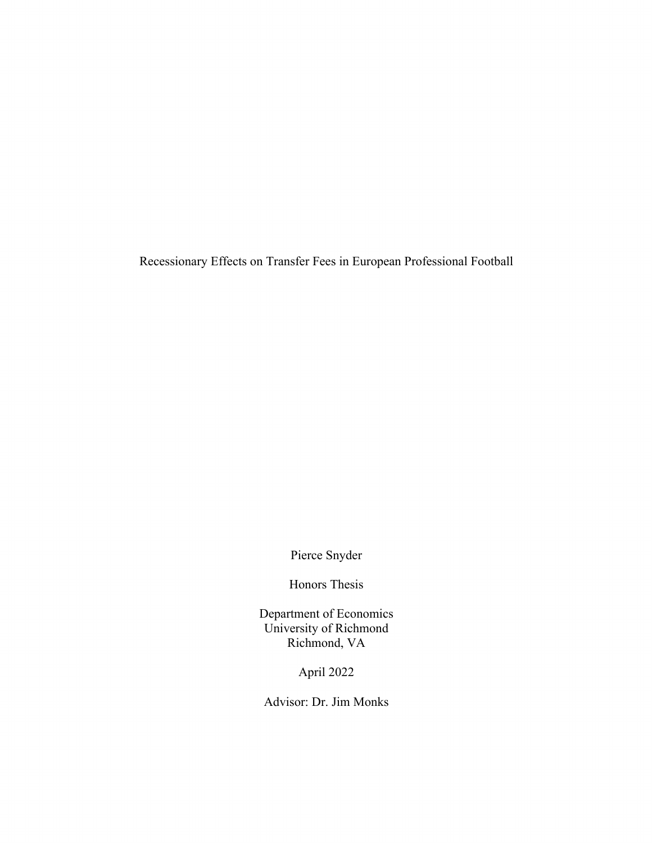Recessionary Effects on Transfer Fees in European Professional Football

Pierce Snyder

Honors Thesis

Department of Economics University of Richmond Richmond, VA

April 2022

Advisor: Dr. Jim Monks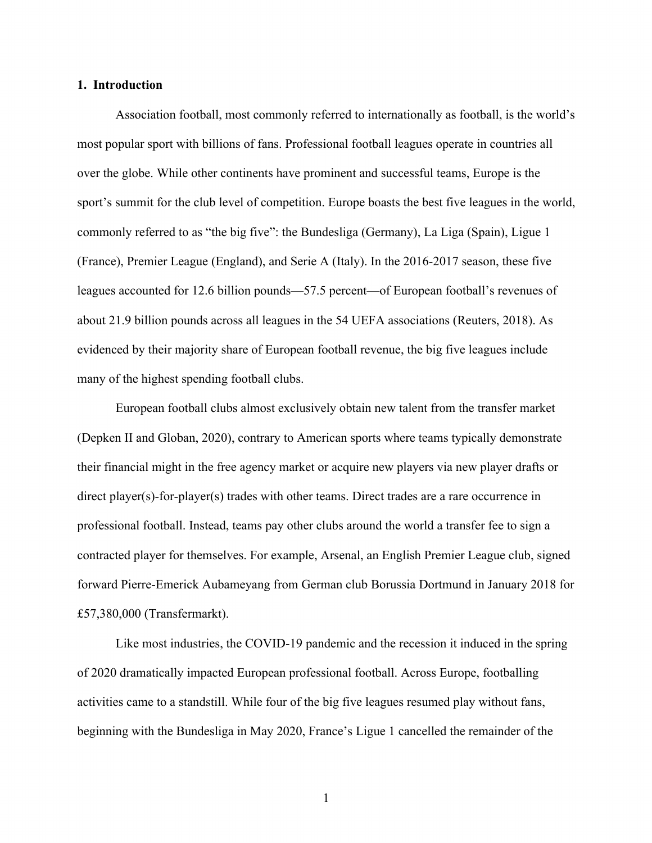# **1. Introduction**

 Association football, most commonly referred to internationally as football, is the world's most popular sport with billions of fans. Professional football leagues operate in countries all over the globe. While other continents have prominent and successful teams, Europe is the sport's summit for the club level of competition. Europe boasts the best five leagues in the world, commonly referred to as "the big five": the Bundesliga (Germany), La Liga (Spain), Ligue 1 (France), Premier League (England), and Serie A (Italy). In the 2016-2017 season, these five leagues accounted for 12.6 billion pounds—57.5 percent—of European football's revenues of about 21.9 billion pounds across all leagues in the 54 UEFA associations (Reuters, 2018). As evidenced by their majority share of European football revenue, the big five leagues include many of the highest spending football clubs.

 European football clubs almost exclusively obtain new talent from the transfer market (Depken II and Globan, 2020), contrary to American sports where teams typically demonstrate their financial might in the free agency market or acquire new players via new player drafts or direct player(s)-for-player(s) trades with other teams. Direct trades are a rare occurrence in professional football. Instead, teams pay other clubs around the world a transfer fee to sign a contracted player for themselves. For example, Arsenal, an English Premier League club, signed forward Pierre-Emerick Aubameyang from German club Borussia Dortmund in January 2018 for £57,380,000 (Transfermarkt).

 Like most industries, the COVID-19 pandemic and the recession it induced in the spring of 2020 dramatically impacted European professional football. Across Europe, footballing activities came to a standstill. While four of the big five leagues resumed play without fans, beginning with the Bundesliga in May 2020, France's Ligue 1 cancelled the remainder of the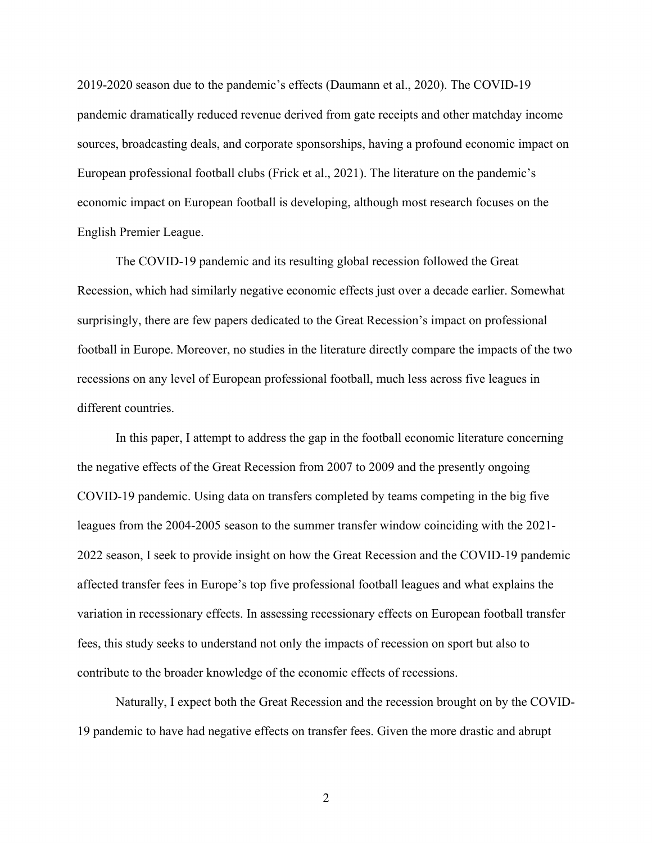2019-2020 season due to the pandemic's effects (Daumann et al., 2020). The COVID-19 pandemic dramatically reduced revenue derived from gate receipts and other matchday income sources, broadcasting deals, and corporate sponsorships, having a profound economic impact on European professional football clubs (Frick et al., 2021). The literature on the pandemic's economic impact on European football is developing, although most research focuses on the English Premier League.

 The COVID-19 pandemic and its resulting global recession followed the Great Recession, which had similarly negative economic effects just over a decade earlier. Somewhat surprisingly, there are few papers dedicated to the Great Recession's impact on professional football in Europe. Moreover, no studies in the literature directly compare the impacts of the two recessions on any level of European professional football, much less across five leagues in different countries.

 In this paper, I attempt to address the gap in the football economic literature concerning the negative effects of the Great Recession from 2007 to 2009 and the presently ongoing COVID-19 pandemic. Using data on transfers completed by teams competing in the big five leagues from the 2004-2005 season to the summer transfer window coinciding with the 2021- 2022 season, I seek to provide insight on how the Great Recession and the COVID-19 pandemic affected transfer fees in Europe's top five professional football leagues and what explains the variation in recessionary effects. In assessing recessionary effects on European football transfer fees, this study seeks to understand not only the impacts of recession on sport but also to contribute to the broader knowledge of the economic effects of recessions.

 Naturally, I expect both the Great Recession and the recession brought on by the COVID-19 pandemic to have had negative effects on transfer fees. Given the more drastic and abrupt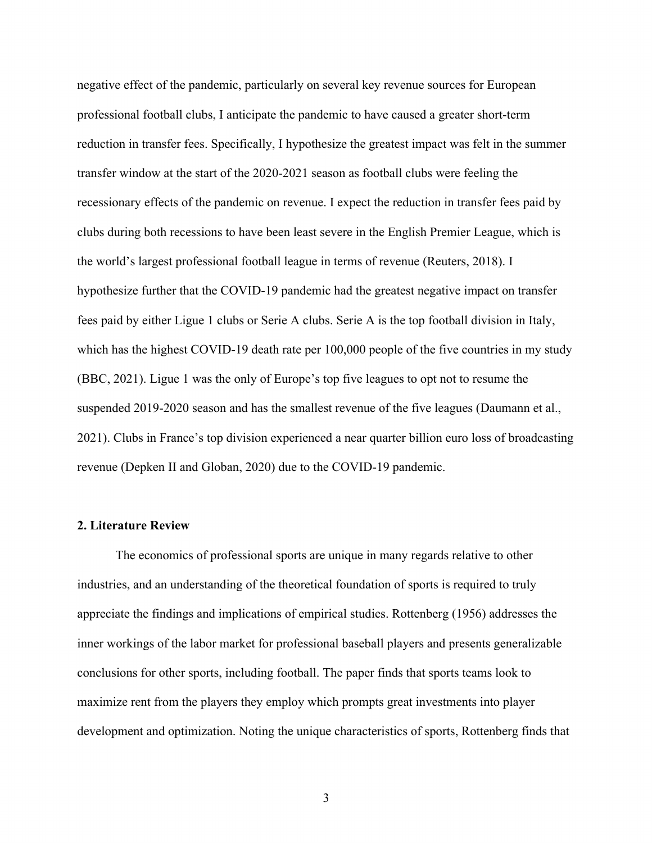negative effect of the pandemic, particularly on several key revenue sources for European professional football clubs, I anticipate the pandemic to have caused a greater short-term reduction in transfer fees. Specifically, I hypothesize the greatest impact was felt in the summer transfer window at the start of the 2020-2021 season as football clubs were feeling the recessionary effects of the pandemic on revenue. I expect the reduction in transfer fees paid by clubs during both recessions to have been least severe in the English Premier League, which is the world's largest professional football league in terms of revenue (Reuters, 2018). I hypothesize further that the COVID-19 pandemic had the greatest negative impact on transfer fees paid by either Ligue 1 clubs or Serie A clubs. Serie A is the top football division in Italy, which has the highest COVID-19 death rate per 100,000 people of the five countries in my study (BBC, 2021). Ligue 1 was the only of Europe's top five leagues to opt not to resume the suspended 2019-2020 season and has the smallest revenue of the five leagues (Daumann et al., 2021). Clubs in France's top division experienced a near quarter billion euro loss of broadcasting revenue (Depken II and Globan, 2020) due to the COVID-19 pandemic.

# **2. Literature Review**

The economics of professional sports are unique in many regards relative to other industries, and an understanding of the theoretical foundation of sports is required to truly appreciate the findings and implications of empirical studies. Rottenberg (1956) addresses the inner workings of the labor market for professional baseball players and presents generalizable conclusions for other sports, including football. The paper finds that sports teams look to maximize rent from the players they employ which prompts great investments into player development and optimization. Noting the unique characteristics of sports, Rottenberg finds that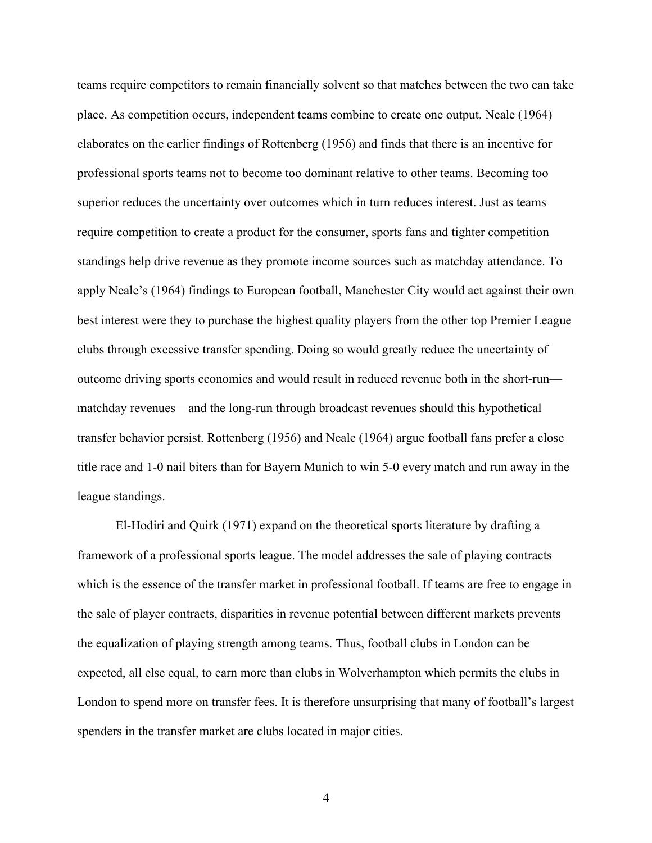teams require competitors to remain financially solvent so that matches between the two can take place. As competition occurs, independent teams combine to create one output. Neale (1964) elaborates on the earlier findings of Rottenberg (1956) and finds that there is an incentive for professional sports teams not to become too dominant relative to other teams. Becoming too superior reduces the uncertainty over outcomes which in turn reduces interest. Just as teams require competition to create a product for the consumer, sports fans and tighter competition standings help drive revenue as they promote income sources such as matchday attendance. To apply Neale's (1964) findings to European football, Manchester City would act against their own best interest were they to purchase the highest quality players from the other top Premier League clubs through excessive transfer spending. Doing so would greatly reduce the uncertainty of outcome driving sports economics and would result in reduced revenue both in the short-run matchday revenues—and the long-run through broadcast revenues should this hypothetical transfer behavior persist. Rottenberg (1956) and Neale (1964) argue football fans prefer a close title race and 1-0 nail biters than for Bayern Munich to win 5-0 every match and run away in the league standings.

El-Hodiri and Quirk (1971) expand on the theoretical sports literature by drafting a framework of a professional sports league. The model addresses the sale of playing contracts which is the essence of the transfer market in professional football. If teams are free to engage in the sale of player contracts, disparities in revenue potential between different markets prevents the equalization of playing strength among teams. Thus, football clubs in London can be expected, all else equal, to earn more than clubs in Wolverhampton which permits the clubs in London to spend more on transfer fees. It is therefore unsurprising that many of football's largest spenders in the transfer market are clubs located in major cities.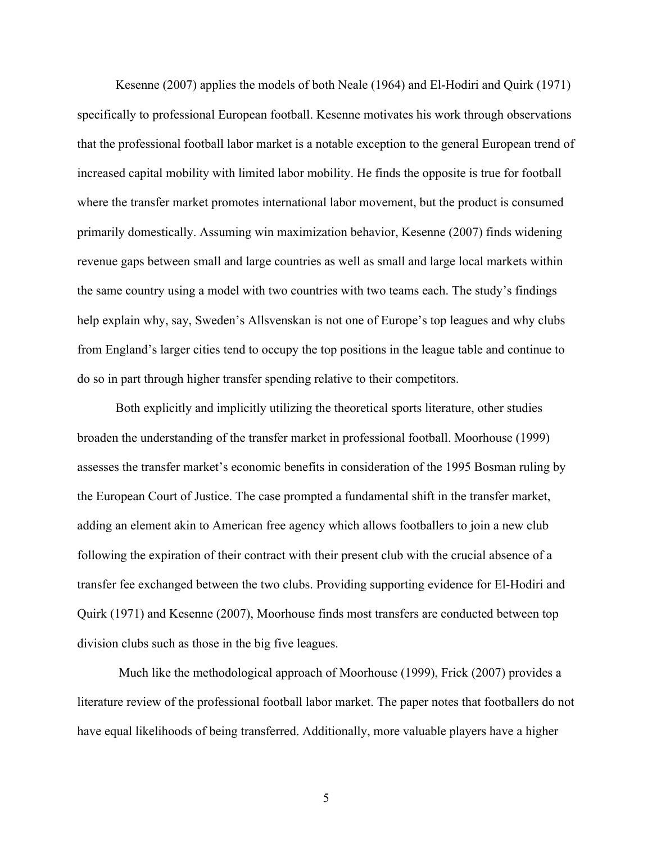Kesenne (2007) applies the models of both Neale (1964) and El-Hodiri and Quirk (1971) specifically to professional European football. Kesenne motivates his work through observations that the professional football labor market is a notable exception to the general European trend of increased capital mobility with limited labor mobility. He finds the opposite is true for football where the transfer market promotes international labor movement, but the product is consumed primarily domestically. Assuming win maximization behavior, Kesenne (2007) finds widening revenue gaps between small and large countries as well as small and large local markets within the same country using a model with two countries with two teams each. The study's findings help explain why, say, Sweden's Allsvenskan is not one of Europe's top leagues and why clubs from England's larger cities tend to occupy the top positions in the league table and continue to do so in part through higher transfer spending relative to their competitors.

 Both explicitly and implicitly utilizing the theoretical sports literature, other studies broaden the understanding of the transfer market in professional football. Moorhouse (1999) assesses the transfer market's economic benefits in consideration of the 1995 Bosman ruling by the European Court of Justice. The case prompted a fundamental shift in the transfer market, adding an element akin to American free agency which allows footballers to join a new club following the expiration of their contract with their present club with the crucial absence of a transfer fee exchanged between the two clubs. Providing supporting evidence for El-Hodiri and Quirk (1971) and Kesenne (2007), Moorhouse finds most transfers are conducted between top division clubs such as those in the big five leagues.

 Much like the methodological approach of Moorhouse (1999), Frick (2007) provides a literature review of the professional football labor market. The paper notes that footballers do not have equal likelihoods of being transferred. Additionally, more valuable players have a higher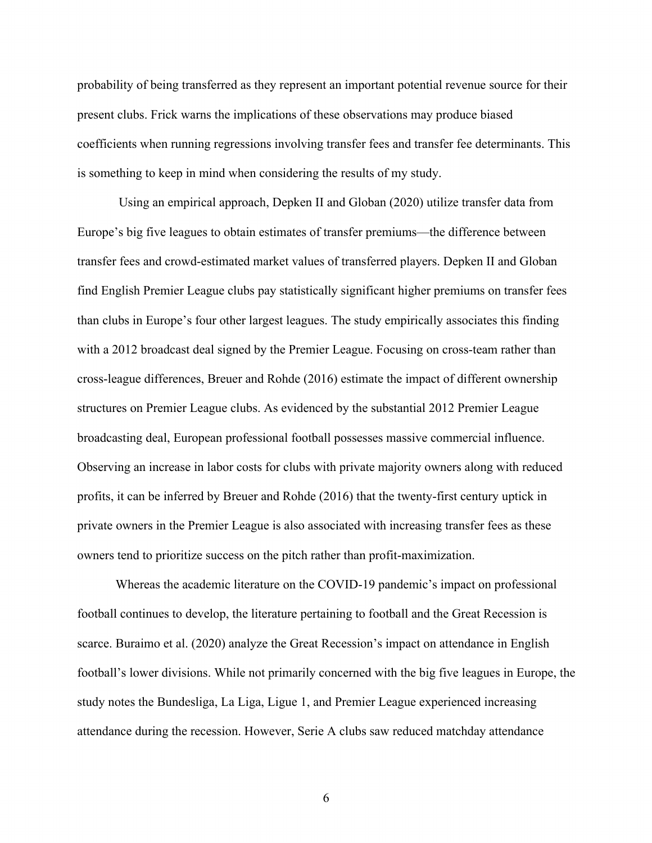probability of being transferred as they represent an important potential revenue source for their present clubs. Frick warns the implications of these observations may produce biased coefficients when running regressions involving transfer fees and transfer fee determinants. This is something to keep in mind when considering the results of my study.

 Using an empirical approach, Depken II and Globan (2020) utilize transfer data from Europe's big five leagues to obtain estimates of transfer premiums—the difference between transfer fees and crowd-estimated market values of transferred players. Depken II and Globan find English Premier League clubs pay statistically significant higher premiums on transfer fees than clubs in Europe's four other largest leagues. The study empirically associates this finding with a 2012 broadcast deal signed by the Premier League. Focusing on cross-team rather than cross-league differences, Breuer and Rohde (2016) estimate the impact of different ownership structures on Premier League clubs. As evidenced by the substantial 2012 Premier League broadcasting deal, European professional football possesses massive commercial influence. Observing an increase in labor costs for clubs with private majority owners along with reduced profits, it can be inferred by Breuer and Rohde (2016) that the twenty-first century uptick in private owners in the Premier League is also associated with increasing transfer fees as these owners tend to prioritize success on the pitch rather than profit-maximization.

Whereas the academic literature on the COVID-19 pandemic's impact on professional football continues to develop, the literature pertaining to football and the Great Recession is scarce. Buraimo et al. (2020) analyze the Great Recession's impact on attendance in English football's lower divisions. While not primarily concerned with the big five leagues in Europe, the study notes the Bundesliga, La Liga, Ligue 1, and Premier League experienced increasing attendance during the recession. However, Serie A clubs saw reduced matchday attendance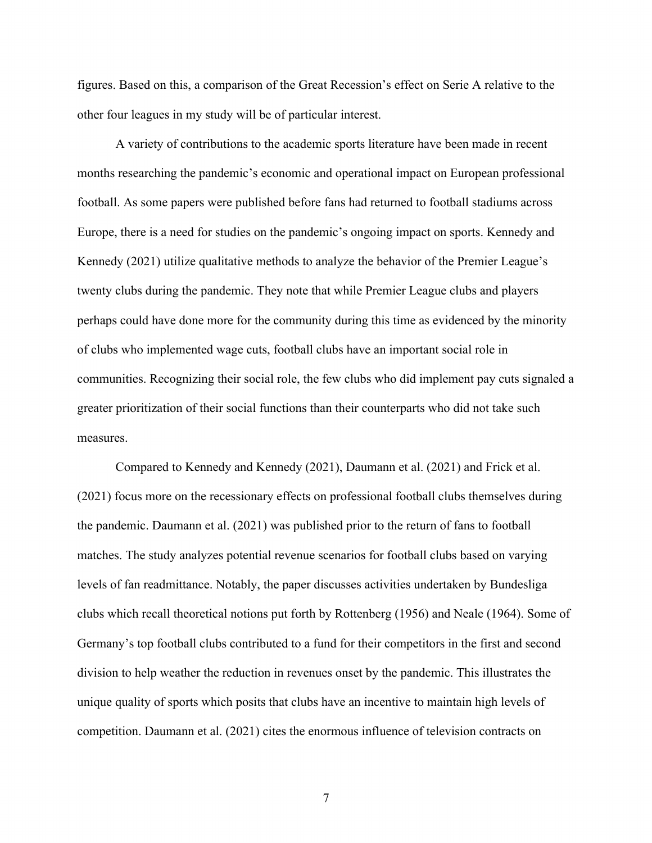figures. Based on this, a comparison of the Great Recession's effect on Serie A relative to the other four leagues in my study will be of particular interest.

A variety of contributions to the academic sports literature have been made in recent months researching the pandemic's economic and operational impact on European professional football. As some papers were published before fans had returned to football stadiums across Europe, there is a need for studies on the pandemic's ongoing impact on sports. Kennedy and Kennedy (2021) utilize qualitative methods to analyze the behavior of the Premier League's twenty clubs during the pandemic. They note that while Premier League clubs and players perhaps could have done more for the community during this time as evidenced by the minority of clubs who implemented wage cuts, football clubs have an important social role in communities. Recognizing their social role, the few clubs who did implement pay cuts signaled a greater prioritization of their social functions than their counterparts who did not take such measures.

Compared to Kennedy and Kennedy (2021), Daumann et al. (2021) and Frick et al. (2021) focus more on the recessionary effects on professional football clubs themselves during the pandemic. Daumann et al. (2021) was published prior to the return of fans to football matches. The study analyzes potential revenue scenarios for football clubs based on varying levels of fan readmittance. Notably, the paper discusses activities undertaken by Bundesliga clubs which recall theoretical notions put forth by Rottenberg (1956) and Neale (1964). Some of Germany's top football clubs contributed to a fund for their competitors in the first and second division to help weather the reduction in revenues onset by the pandemic. This illustrates the unique quality of sports which posits that clubs have an incentive to maintain high levels of competition. Daumann et al. (2021) cites the enormous influence of television contracts on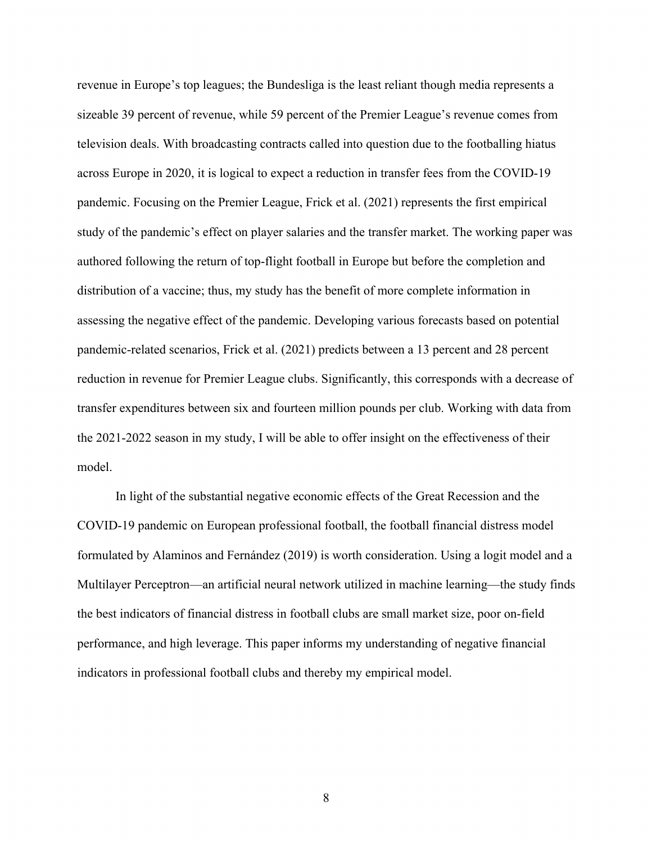revenue in Europe's top leagues; the Bundesliga is the least reliant though media represents a sizeable 39 percent of revenue, while 59 percent of the Premier League's revenue comes from television deals. With broadcasting contracts called into question due to the footballing hiatus across Europe in 2020, it is logical to expect a reduction in transfer fees from the COVID-19 pandemic. Focusing on the Premier League, Frick et al. (2021) represents the first empirical study of the pandemic's effect on player salaries and the transfer market. The working paper was authored following the return of top-flight football in Europe but before the completion and distribution of a vaccine; thus, my study has the benefit of more complete information in assessing the negative effect of the pandemic. Developing various forecasts based on potential pandemic-related scenarios, Frick et al. (2021) predicts between a 13 percent and 28 percent reduction in revenue for Premier League clubs. Significantly, this corresponds with a decrease of transfer expenditures between six and fourteen million pounds per club. Working with data from the 2021-2022 season in my study, I will be able to offer insight on the effectiveness of their model.

In light of the substantial negative economic effects of the Great Recession and the COVID-19 pandemic on European professional football, the football financial distress model formulated by Alaminos and Fernández (2019) is worth consideration. Using a logit model and a Multilayer Perceptron—an artificial neural network utilized in machine learning—the study finds the best indicators of financial distress in football clubs are small market size, poor on-field performance, and high leverage. This paper informs my understanding of negative financial indicators in professional football clubs and thereby my empirical model.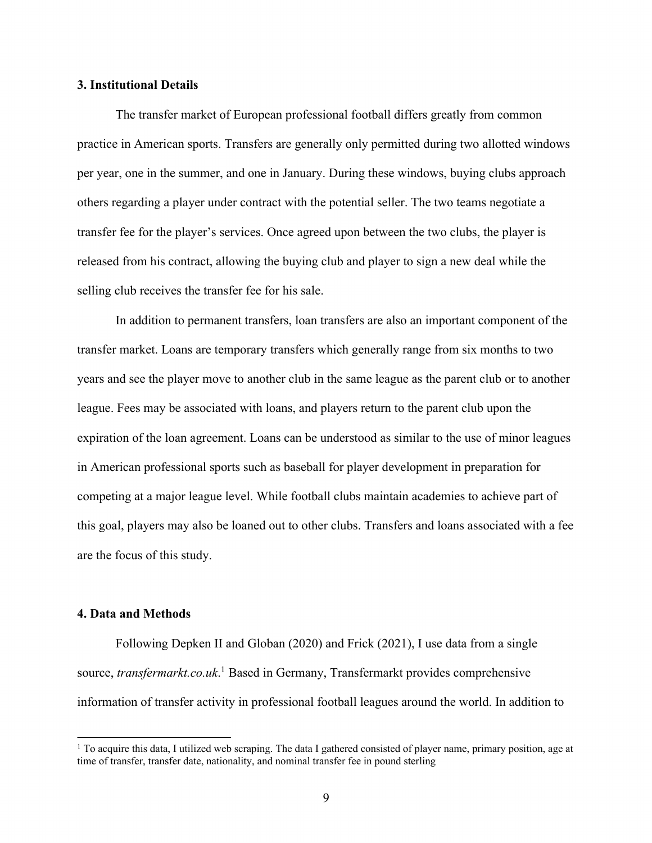# **3. Institutional Details**

The transfer market of European professional football differs greatly from common practice in American sports. Transfers are generally only permitted during two allotted windows per year, one in the summer, and one in January. During these windows, buying clubs approach others regarding a player under contract with the potential seller. The two teams negotiate a transfer fee for the player's services. Once agreed upon between the two clubs, the player is released from his contract, allowing the buying club and player to sign a new deal while the selling club receives the transfer fee for his sale.

 In addition to permanent transfers, loan transfers are also an important component of the transfer market. Loans are temporary transfers which generally range from six months to two years and see the player move to another club in the same league as the parent club or to another league. Fees may be associated with loans, and players return to the parent club upon the expiration of the loan agreement. Loans can be understood as similar to the use of minor leagues in American professional sports such as baseball for player development in preparation for competing at a major league level. While football clubs maintain academies to achieve part of this goal, players may also be loaned out to other clubs. Transfers and loans associated with a fee are the focus of this study.

# **4. Data and Methods**

Following Depken II and Globan (2020) and Frick (2021), I use data from a single source, *transfermarkt.co.uk*. 1 Based in Germany, Transfermarkt provides comprehensive information of transfer activity in professional football leagues around the world. In addition to

<sup>&</sup>lt;sup>1</sup> To acquire this data, I utilized web scraping. The data I gathered consisted of player name, primary position, age at time of transfer, transfer date, nationality, and nominal transfer fee in pound sterling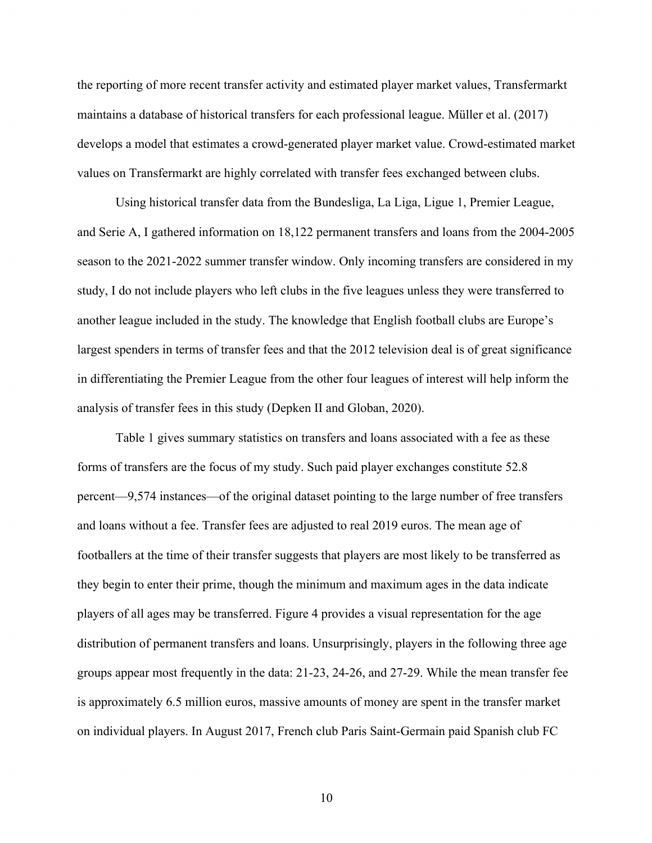the reporting of more recent transfer activity and estimated player market values, Transfermarkt maintains a database of historical transfers for each professional league. Müller et al. (2017) develops a model that estimates a crowd-generated player market value. Crowd-estimated market values on Transfermarkt are highly correlated with transfer fees exchanged between clubs.

 Using historical transfer data from the Bundesliga, La Liga, Ligue 1, Premier League, and Serie A, I gathered information on 18,122 permanent transfers and loans from the 2004-2005 season to the 2021-2022 summer transfer window. Only incoming transfers are considered in my study, I do not include players who left clubs in the five leagues unless they were transferred to another league included in the study. The knowledge that English football clubs are Europe's largest spenders in terms of transfer fees and that the 2012 television deal is of great significance in differentiating the Premier League from the other four leagues of interest will help inform the analysis of transfer fees in this study (Depken II and Globan, 2020).

 Table 1 gives summary statistics on transfers and loans associated with a fee as these forms of transfers are the focus of my study. Such paid player exchanges constitute 52.8 percent—9,574 instances—of the original dataset pointing to the large number of free transfers and loans without a fee. Transfer fees are adjusted to real 2019 euros. The mean age of footballers at the time of their transfer suggests that players are most likely to be transferred as they begin to enter their prime, though the minimum and maximum ages in the data indicate players of all ages may be transferred. Figure 4 provides a visual representation for the age distribution of permanent transfers and loans. Unsurprisingly, players in the following three age groups appear most frequently in the data: 21-23, 24-26, and 27-29. While the mean transfer fee is approximately 6.5 million euros, massive amounts of money are spent in the transfer market on individual players. In August 2017, French club Paris Saint-Germain paid Spanish club FC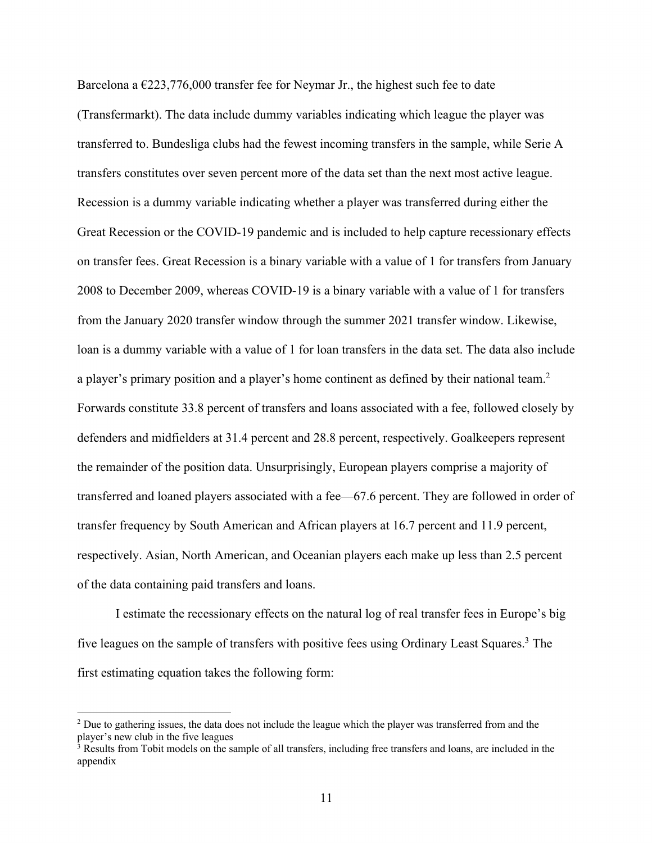Barcelona a  $\epsilon$ 223,776,000 transfer fee for Neymar Jr., the highest such fee to date (Transfermarkt). The data include dummy variables indicating which league the player was transferred to. Bundesliga clubs had the fewest incoming transfers in the sample, while Serie A transfers constitutes over seven percent more of the data set than the next most active league. Recession is a dummy variable indicating whether a player was transferred during either the Great Recession or the COVID-19 pandemic and is included to help capture recessionary effects on transfer fees. Great Recession is a binary variable with a value of 1 for transfers from January 2008 to December 2009, whereas COVID-19 is a binary variable with a value of 1 for transfers from the January 2020 transfer window through the summer 2021 transfer window. Likewise, loan is a dummy variable with a value of 1 for loan transfers in the data set. The data also include a player's primary position and a player's home continent as defined by their national team.2 Forwards constitute 33.8 percent of transfers and loans associated with a fee, followed closely by defenders and midfielders at 31.4 percent and 28.8 percent, respectively. Goalkeepers represent the remainder of the position data. Unsurprisingly, European players comprise a majority of transferred and loaned players associated with a fee—67.6 percent. They are followed in order of transfer frequency by South American and African players at 16.7 percent and 11.9 percent, respectively. Asian, North American, and Oceanian players each make up less than 2.5 percent of the data containing paid transfers and loans.

 I estimate the recessionary effects on the natural log of real transfer fees in Europe's big five leagues on the sample of transfers with positive fees using Ordinary Least Squares.<sup>3</sup> The first estimating equation takes the following form:

<sup>&</sup>lt;sup>2</sup> Due to gathering issues, the data does not include the league which the player was transferred from and the player's new club in the five leagues

<sup>&</sup>lt;sup>3</sup> Results from Tobit models on the sample of all transfers, including free transfers and loans, are included in the appendix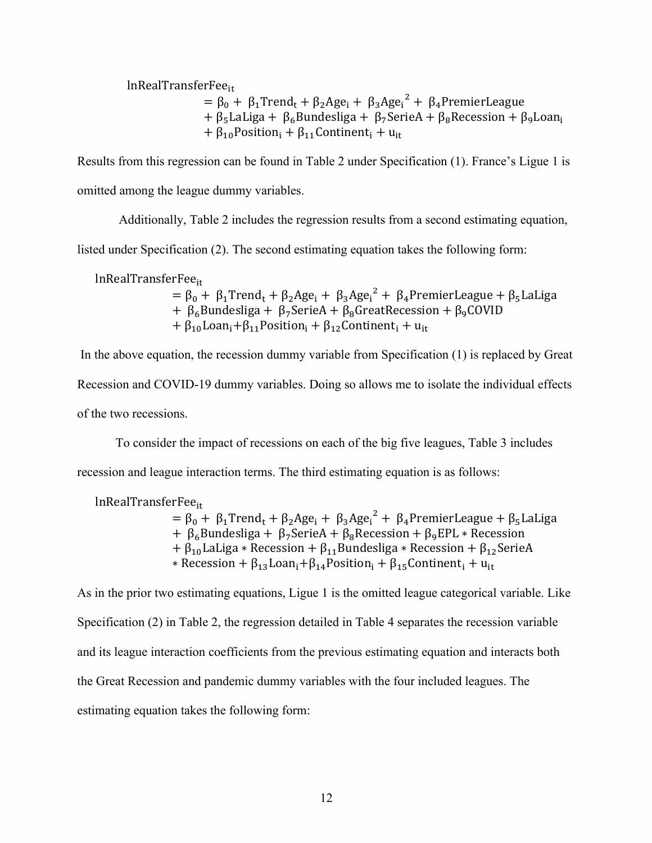$lnRealTransferFe<sub>tr</sub>$ 

 $= \beta_0 + \beta_1$ Trend<sub>t</sub> + β<sub>2</sub>Age<sub>i</sub> + β<sub>3</sub>Age<sub>i</sub><sup>2</sup> + β<sub>4</sub>PremierLeague +  $\beta_5$ LaLiga +  $\beta_6$ Bundesliga +  $\beta_7$ SerieA +  $\beta_8$ Recession +  $\beta_9$ Loan<sub>i</sub> +  $\beta_{10}$ Position<sub>i</sub> +  $\beta_{11}$ Continent<sub>i</sub> + u<sub>it</sub>

Results from this regression can be found in Table 2 under Specification (1). France's Ligue 1 is omitted among the league dummy variables.

Additionally, Table 2 includes the regression results from a second estimating equation,

listed under Specification (2). The second estimating equation takes the following form:

lnRealTransferFee<sub>it</sub>

= β<sub>0</sub> + β<sub>1</sub>Trend<sub>t</sub> + β<sub>2</sub>Age<sub>i</sub> + β<sub>3</sub>Age<sub>i</sub><sup>2</sup> + β<sub>4</sub>PremierLeague + β<sub>5</sub>LaLiga +  $\beta_6$ Bundesliga +  $\beta_7$ SerieA +  $\beta_8$ GreatRecession +  $\beta_9$ COVID +  $\beta_{10}$ Loan<sub>i</sub> +  $\beta_{11}$ Position<sub>i</sub> +  $\beta_{12}$ Continent<sub>i</sub> + u<sub>it</sub>

 In the above equation, the recession dummy variable from Specification (1) is replaced by Great Recession and COVID-19 dummy variables. Doing so allows me to isolate the individual effects of the two recessions.

To consider the impact of recessions on each of the big five leagues, Table 3 includes

recession and league interaction terms. The third estimating equation is as follows:

lnRealTransferFee<sub>it</sub>

= β<sub>0</sub> + β<sub>1</sub>Trend<sub>t</sub> + β<sub>2</sub>Age<sub>i</sub> + β<sub>3</sub>Age<sub>i</sub><sup>2</sup> + β<sub>4</sub>PremierLeague + β<sub>5</sub>LaLiga +  $\beta_6$ Bundesliga +  $\beta_7$ SerieA +  $\beta_8$ Recession +  $\beta_9$ EPL \* Recession +  $\beta_{10}$ LaLiga \* Recession +  $\beta_{11}$ Bundesliga \* Recession +  $\beta_{12}$ SerieA  $*$  Recession + β<sub>13</sub>Loan<sub>i</sub> + β<sub>14</sub>Position<sub>i</sub> + β<sub>15</sub>Continent<sub>i</sub> + u<sub>it</sub>

As in the prior two estimating equations, Ligue 1 is the omitted league categorical variable. Like Specification (2) in Table 2, the regression detailed in Table 4 separates the recession variable and its league interaction coefficients from the previous estimating equation and interacts both the Great Recession and pandemic dummy variables with the four included leagues. The estimating equation takes the following form: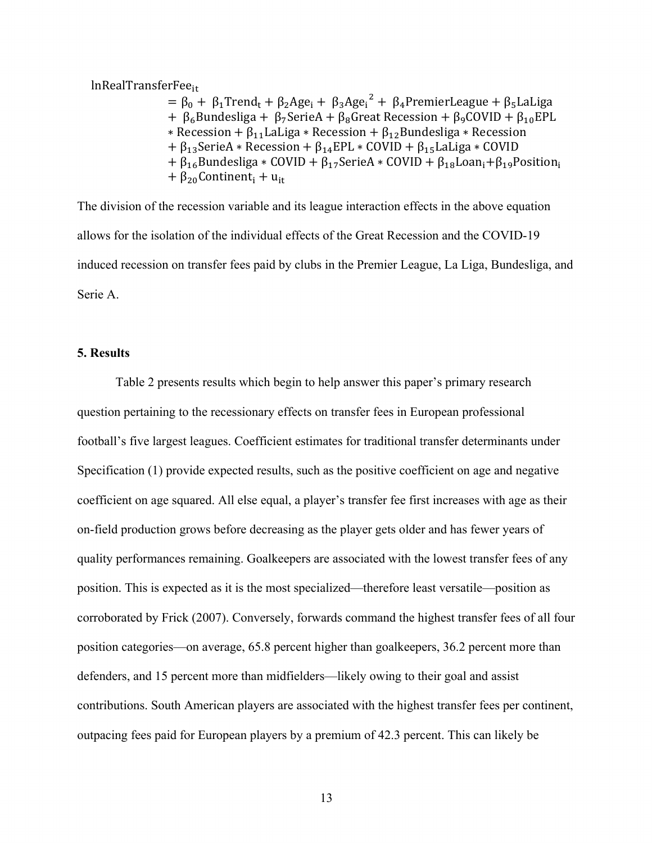$lnRealTransferFe<sub>tr</sub>$ 

= β<sub>0</sub> + β<sub>1</sub>Trend<sub>t</sub> + β<sub>2</sub>Age<sub>i</sub> + β<sub>3</sub>Age<sub>i</sub><sup>2</sup> + β<sub>4</sub>PremierLeague + β<sub>5</sub>LaLiga +  $\beta_6$ Bundesliga +  $\beta_7$ SerieA +  $\beta_8$ Great Recession +  $\beta_9$ COVID +  $\beta_{10}$ EPL  $*$  Recession + β<sub>11</sub> LaLiga  $*$  Recession + β<sub>12</sub> Bundesliga  $*$  Recession +  $\beta_{13}$ SerieA \* Recession +  $\beta_{14}$ EPL \* COVID +  $\beta_{15}$ LaLiga \* COVID +  $\beta_{16}$ Bundesliga \* COVID +  $\beta_{17}$ SerieA \* COVID +  $\beta_{18}$ Loan<sub>i</sub> +  $\beta_{19}$ Position<sub>i</sub>  $+ \beta_{20}$ Continent<sub>i</sub> + u<sub>it</sub>

The division of the recession variable and its league interaction effects in the above equation allows for the isolation of the individual effects of the Great Recession and the COVID-19 induced recession on transfer fees paid by clubs in the Premier League, La Liga, Bundesliga, and Serie A.

# **5. Results**

Table 2 presents results which begin to help answer this paper's primary research question pertaining to the recessionary effects on transfer fees in European professional football's five largest leagues. Coefficient estimates for traditional transfer determinants under Specification (1) provide expected results, such as the positive coefficient on age and negative coefficient on age squared. All else equal, a player's transfer fee first increases with age as their on-field production grows before decreasing as the player gets older and has fewer years of quality performances remaining. Goalkeepers are associated with the lowest transfer fees of any position. This is expected as it is the most specialized—therefore least versatile—position as corroborated by Frick (2007). Conversely, forwards command the highest transfer fees of all four position categories—on average, 65.8 percent higher than goalkeepers, 36.2 percent more than defenders, and 15 percent more than midfielders—likely owing to their goal and assist contributions. South American players are associated with the highest transfer fees per continent, outpacing fees paid for European players by a premium of 42.3 percent. This can likely be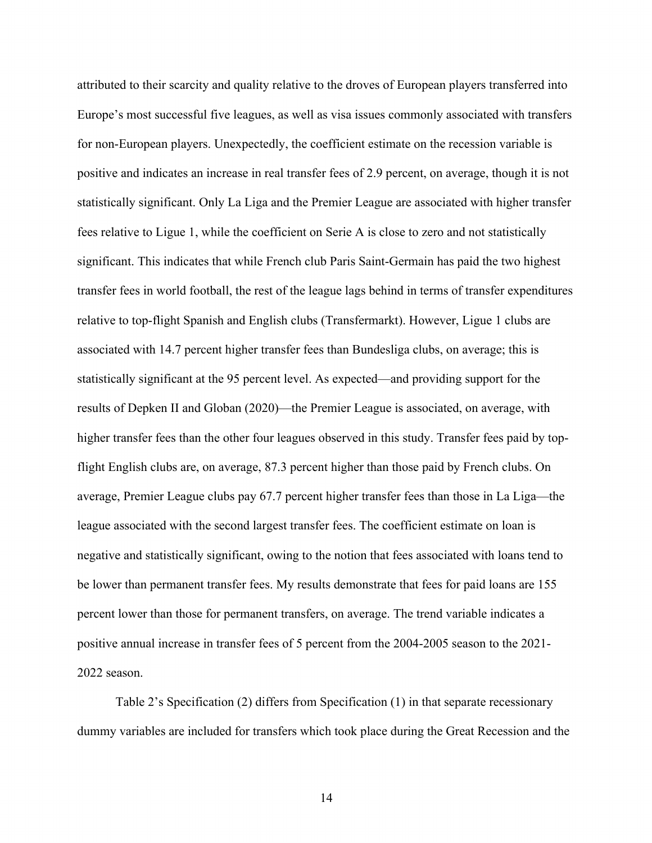attributed to their scarcity and quality relative to the droves of European players transferred into Europe's most successful five leagues, as well as visa issues commonly associated with transfers for non-European players. Unexpectedly, the coefficient estimate on the recession variable is positive and indicates an increase in real transfer fees of 2.9 percent, on average, though it is not statistically significant. Only La Liga and the Premier League are associated with higher transfer fees relative to Ligue 1, while the coefficient on Serie A is close to zero and not statistically significant. This indicates that while French club Paris Saint-Germain has paid the two highest transfer fees in world football, the rest of the league lags behind in terms of transfer expenditures relative to top-flight Spanish and English clubs (Transfermarkt). However, Ligue 1 clubs are associated with 14.7 percent higher transfer fees than Bundesliga clubs, on average; this is statistically significant at the 95 percent level. As expected—and providing support for the results of Depken II and Globan (2020)—the Premier League is associated, on average, with higher transfer fees than the other four leagues observed in this study. Transfer fees paid by topflight English clubs are, on average, 87.3 percent higher than those paid by French clubs. On average, Premier League clubs pay 67.7 percent higher transfer fees than those in La Liga—the league associated with the second largest transfer fees. The coefficient estimate on loan is negative and statistically significant, owing to the notion that fees associated with loans tend to be lower than permanent transfer fees. My results demonstrate that fees for paid loans are 155 percent lower than those for permanent transfers, on average. The trend variable indicates a positive annual increase in transfer fees of 5 percent from the 2004-2005 season to the 2021- 2022 season.

 Table 2's Specification (2) differs from Specification (1) in that separate recessionary dummy variables are included for transfers which took place during the Great Recession and the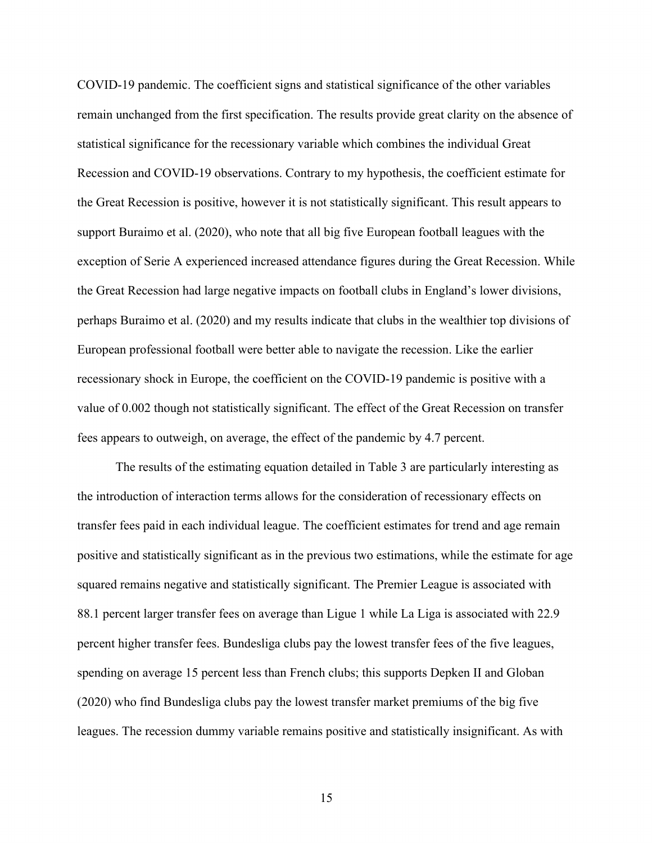COVID-19 pandemic. The coefficient signs and statistical significance of the other variables remain unchanged from the first specification. The results provide great clarity on the absence of statistical significance for the recessionary variable which combines the individual Great Recession and COVID-19 observations. Contrary to my hypothesis, the coefficient estimate for the Great Recession is positive, however it is not statistically significant. This result appears to support Buraimo et al. (2020), who note that all big five European football leagues with the exception of Serie A experienced increased attendance figures during the Great Recession. While the Great Recession had large negative impacts on football clubs in England's lower divisions, perhaps Buraimo et al. (2020) and my results indicate that clubs in the wealthier top divisions of European professional football were better able to navigate the recession. Like the earlier recessionary shock in Europe, the coefficient on the COVID-19 pandemic is positive with a value of 0.002 though not statistically significant. The effect of the Great Recession on transfer fees appears to outweigh, on average, the effect of the pandemic by 4.7 percent.

 The results of the estimating equation detailed in Table 3 are particularly interesting as the introduction of interaction terms allows for the consideration of recessionary effects on transfer fees paid in each individual league. The coefficient estimates for trend and age remain positive and statistically significant as in the previous two estimations, while the estimate for age squared remains negative and statistically significant. The Premier League is associated with 88.1 percent larger transfer fees on average than Ligue 1 while La Liga is associated with 22.9 percent higher transfer fees. Bundesliga clubs pay the lowest transfer fees of the five leagues, spending on average 15 percent less than French clubs; this supports Depken II and Globan (2020) who find Bundesliga clubs pay the lowest transfer market premiums of the big five leagues. The recession dummy variable remains positive and statistically insignificant. As with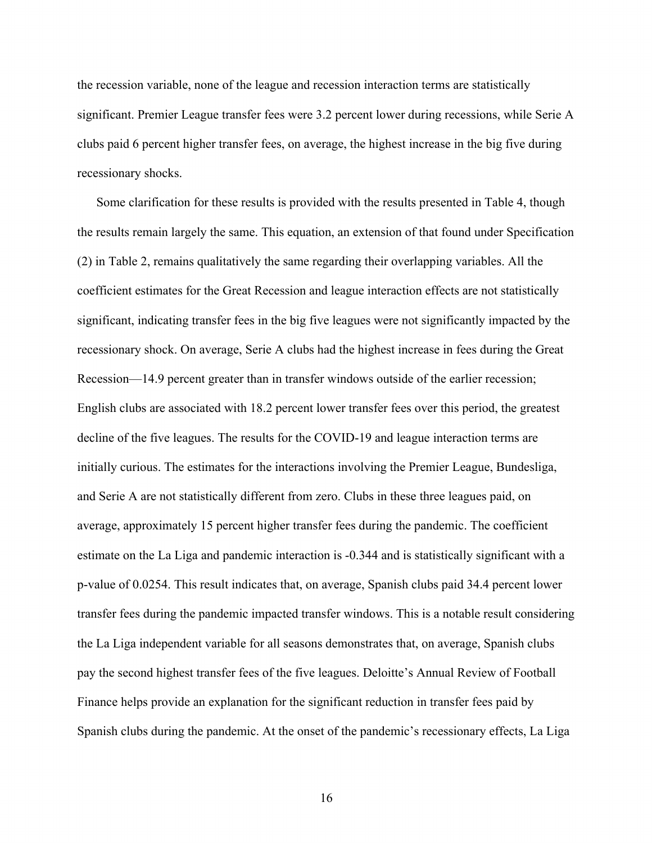the recession variable, none of the league and recession interaction terms are statistically significant. Premier League transfer fees were 3.2 percent lower during recessions, while Serie A clubs paid 6 percent higher transfer fees, on average, the highest increase in the big five during recessionary shocks.

Some clarification for these results is provided with the results presented in Table 4, though the results remain largely the same. This equation, an extension of that found under Specification (2) in Table 2, remains qualitatively the same regarding their overlapping variables. All the coefficient estimates for the Great Recession and league interaction effects are not statistically significant, indicating transfer fees in the big five leagues were not significantly impacted by the recessionary shock. On average, Serie A clubs had the highest increase in fees during the Great Recession—14.9 percent greater than in transfer windows outside of the earlier recession; English clubs are associated with 18.2 percent lower transfer fees over this period, the greatest decline of the five leagues. The results for the COVID-19 and league interaction terms are initially curious. The estimates for the interactions involving the Premier League, Bundesliga, and Serie A are not statistically different from zero. Clubs in these three leagues paid, on average, approximately 15 percent higher transfer fees during the pandemic. The coefficient estimate on the La Liga and pandemic interaction is -0.344 and is statistically significant with a p-value of 0.0254. This result indicates that, on average, Spanish clubs paid 34.4 percent lower transfer fees during the pandemic impacted transfer windows. This is a notable result considering the La Liga independent variable for all seasons demonstrates that, on average, Spanish clubs pay the second highest transfer fees of the five leagues. Deloitte's Annual Review of Football Finance helps provide an explanation for the significant reduction in transfer fees paid by Spanish clubs during the pandemic. At the onset of the pandemic's recessionary effects, La Liga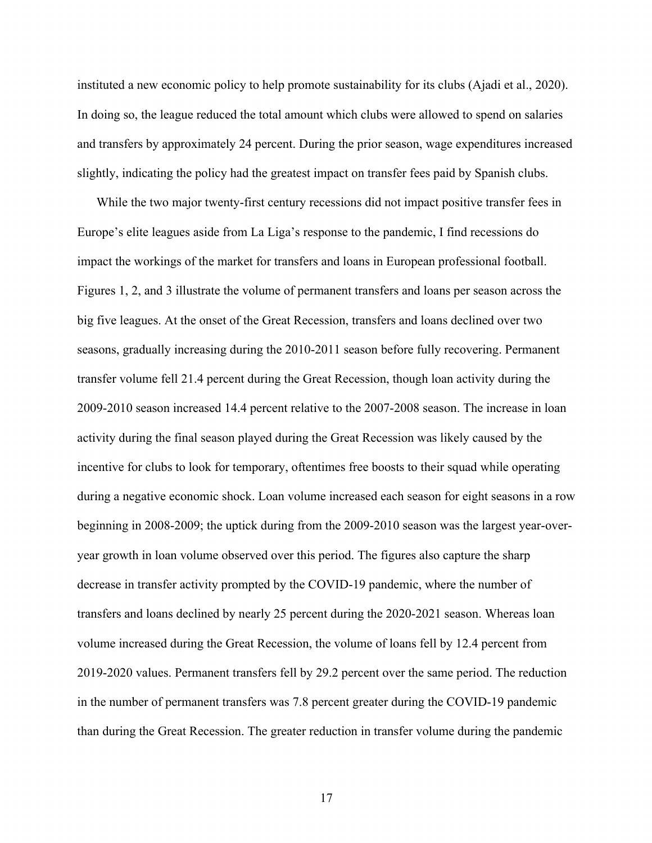instituted a new economic policy to help promote sustainability for its clubs (Ajadi et al., 2020). In doing so, the league reduced the total amount which clubs were allowed to spend on salaries and transfers by approximately 24 percent. During the prior season, wage expenditures increased slightly, indicating the policy had the greatest impact on transfer fees paid by Spanish clubs.

While the two major twenty-first century recessions did not impact positive transfer fees in Europe's elite leagues aside from La Liga's response to the pandemic, I find recessions do impact the workings of the market for transfers and loans in European professional football. Figures 1, 2, and 3 illustrate the volume of permanent transfers and loans per season across the big five leagues. At the onset of the Great Recession, transfers and loans declined over two seasons, gradually increasing during the 2010-2011 season before fully recovering. Permanent transfer volume fell 21.4 percent during the Great Recession, though loan activity during the 2009-2010 season increased 14.4 percent relative to the 2007-2008 season. The increase in loan activity during the final season played during the Great Recession was likely caused by the incentive for clubs to look for temporary, oftentimes free boosts to their squad while operating during a negative economic shock. Loan volume increased each season for eight seasons in a row beginning in 2008-2009; the uptick during from the 2009-2010 season was the largest year-overyear growth in loan volume observed over this period. The figures also capture the sharp decrease in transfer activity prompted by the COVID-19 pandemic, where the number of transfers and loans declined by nearly 25 percent during the 2020-2021 season. Whereas loan volume increased during the Great Recession, the volume of loans fell by 12.4 percent from 2019-2020 values. Permanent transfers fell by 29.2 percent over the same period. The reduction in the number of permanent transfers was 7.8 percent greater during the COVID-19 pandemic than during the Great Recession. The greater reduction in transfer volume during the pandemic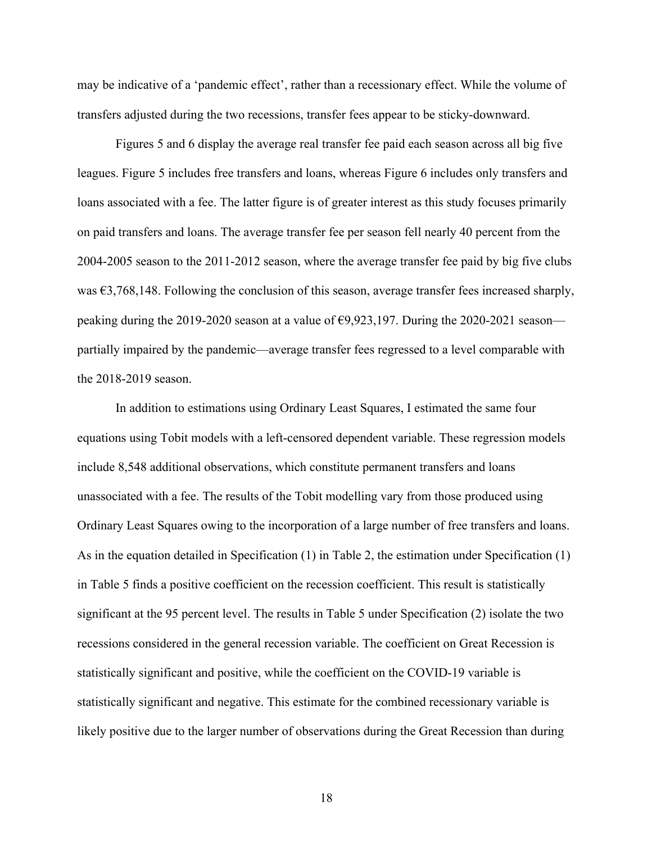may be indicative of a 'pandemic effect', rather than a recessionary effect. While the volume of transfers adjusted during the two recessions, transfer fees appear to be sticky-downward.

 Figures 5 and 6 display the average real transfer fee paid each season across all big five leagues. Figure 5 includes free transfers and loans, whereas Figure 6 includes only transfers and loans associated with a fee. The latter figure is of greater interest as this study focuses primarily on paid transfers and loans. The average transfer fee per season fell nearly 40 percent from the 2004-2005 season to the 2011-2012 season, where the average transfer fee paid by big five clubs was €3,768,148. Following the conclusion of this season, average transfer fees increased sharply, peaking during the 2019-2020 season at a value of  $\epsilon$ 9,923,197. During the 2020-2021 season partially impaired by the pandemic—average transfer fees regressed to a level comparable with the 2018-2019 season.

 In addition to estimations using Ordinary Least Squares, I estimated the same four equations using Tobit models with a left-censored dependent variable. These regression models include 8,548 additional observations, which constitute permanent transfers and loans unassociated with a fee. The results of the Tobit modelling vary from those produced using Ordinary Least Squares owing to the incorporation of a large number of free transfers and loans. As in the equation detailed in Specification (1) in Table 2, the estimation under Specification (1) in Table 5 finds a positive coefficient on the recession coefficient. This result is statistically significant at the 95 percent level. The results in Table 5 under Specification (2) isolate the two recessions considered in the general recession variable. The coefficient on Great Recession is statistically significant and positive, while the coefficient on the COVID-19 variable is statistically significant and negative. This estimate for the combined recessionary variable is likely positive due to the larger number of observations during the Great Recession than during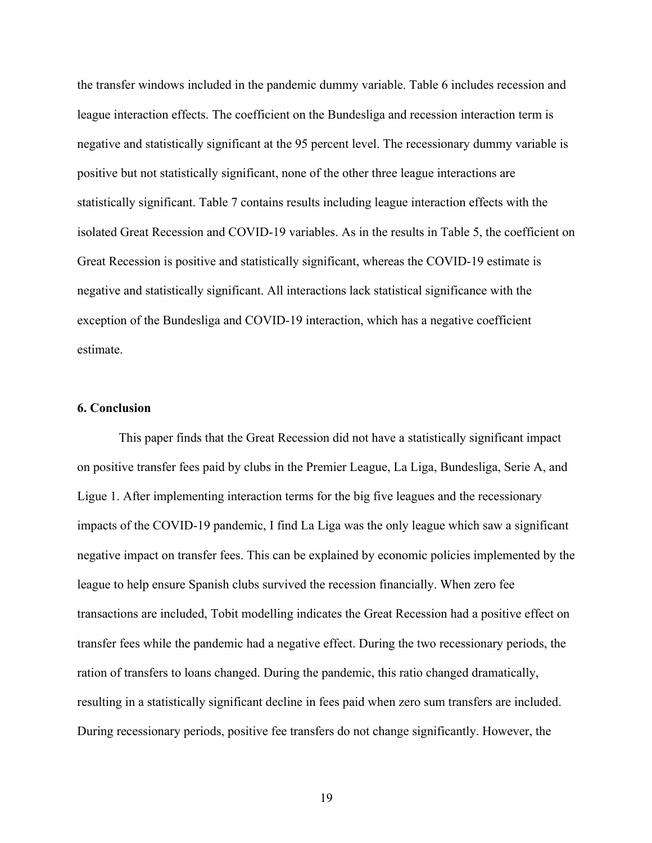the transfer windows included in the pandemic dummy variable. Table 6 includes recession and league interaction effects. The coefficient on the Bundesliga and recession interaction term is negative and statistically significant at the 95 percent level. The recessionary dummy variable is positive but not statistically significant, none of the other three league interactions are statistically significant. Table 7 contains results including league interaction effects with the isolated Great Recession and COVID-19 variables. As in the results in Table 5, the coefficient on Great Recession is positive and statistically significant, whereas the COVID-19 estimate is negative and statistically significant. All interactions lack statistical significance with the exception of the Bundesliga and COVID-19 interaction, which has a negative coefficient estimate.

# **6. Conclusion**

This paper finds that the Great Recession did not have a statistically significant impact on positive transfer fees paid by clubs in the Premier League, La Liga, Bundesliga, Serie A, and Ligue 1. After implementing interaction terms for the big five leagues and the recessionary impacts of the COVID-19 pandemic, I find La Liga was the only league which saw a significant negative impact on transfer fees. This can be explained by economic policies implemented by the league to help ensure Spanish clubs survived the recession financially. When zero fee transactions are included, Tobit modelling indicates the Great Recession had a positive effect on transfer fees while the pandemic had a negative effect. During the two recessionary periods, the ration of transfers to loans changed. During the pandemic, this ratio changed dramatically, resulting in a statistically significant decline in fees paid when zero sum transfers are included. During recessionary periods, positive fee transfers do not change significantly. However, the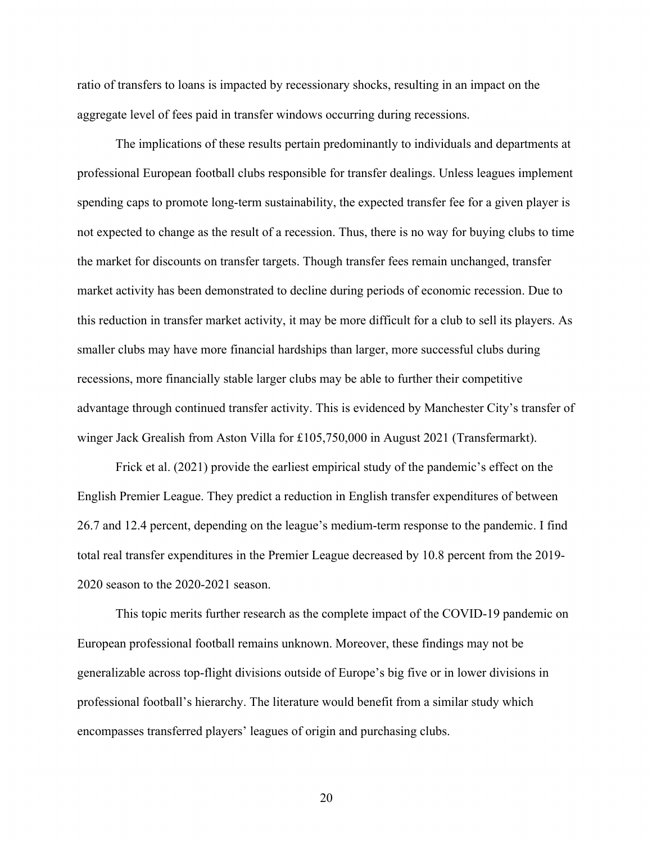ratio of transfers to loans is impacted by recessionary shocks, resulting in an impact on the aggregate level of fees paid in transfer windows occurring during recessions.

 The implications of these results pertain predominantly to individuals and departments at professional European football clubs responsible for transfer dealings. Unless leagues implement spending caps to promote long-term sustainability, the expected transfer fee for a given player is not expected to change as the result of a recession. Thus, there is no way for buying clubs to time the market for discounts on transfer targets. Though transfer fees remain unchanged, transfer market activity has been demonstrated to decline during periods of economic recession. Due to this reduction in transfer market activity, it may be more difficult for a club to sell its players. As smaller clubs may have more financial hardships than larger, more successful clubs during recessions, more financially stable larger clubs may be able to further their competitive advantage through continued transfer activity. This is evidenced by Manchester City's transfer of winger Jack Grealish from Aston Villa for £105,750,000 in August 2021 (Transfermarkt).

 Frick et al. (2021) provide the earliest empirical study of the pandemic's effect on the English Premier League. They predict a reduction in English transfer expenditures of between 26.7 and 12.4 percent, depending on the league's medium-term response to the pandemic. I find total real transfer expenditures in the Premier League decreased by 10.8 percent from the 2019- 2020 season to the 2020-2021 season.

 This topic merits further research as the complete impact of the COVID-19 pandemic on European professional football remains unknown. Moreover, these findings may not be generalizable across top-flight divisions outside of Europe's big five or in lower divisions in professional football's hierarchy. The literature would benefit from a similar study which encompasses transferred players' leagues of origin and purchasing clubs.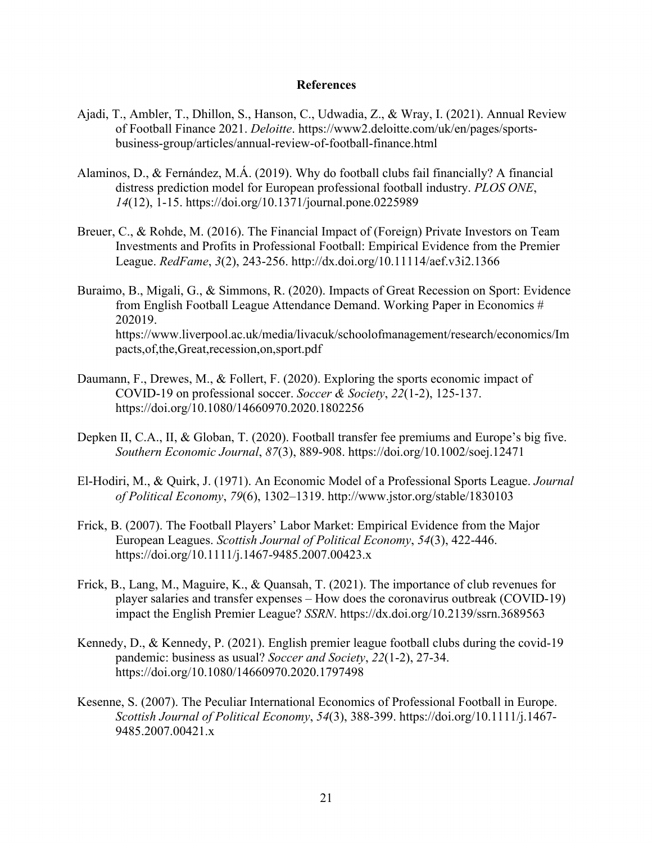## **References**

- Ajadi, T., Ambler, T., Dhillon, S., Hanson, C., Udwadia, Z., & Wray, I. (2021). Annual Review of Football Finance 2021. *Deloitte*. https://www2.deloitte.com/uk/en/pages/sportsbusiness-group/articles/annual-review-of-football-finance.html
- Alaminos, D., & Fernández, M.Á. (2019). Why do football clubs fail financially? A financial distress prediction model for European professional football industry. *PLOS ONE*, *14*(12), 1-15. https://doi.org/10.1371/journal.pone.0225989
- Breuer, C., & Rohde, M. (2016). The Financial Impact of (Foreign) Private Investors on Team Investments and Profits in Professional Football: Empirical Evidence from the Premier League. *RedFame*, *3*(2), 243-256. http://dx.doi.org/10.11114/aef.v3i2.1366

Buraimo, B., Migali, G., & Simmons, R. (2020). Impacts of Great Recession on Sport: Evidence from English Football League Attendance Demand. Working Paper in Economics # 202019. https://www.liverpool.ac.uk/media/livacuk/schoolofmanagement/research/economics/Im pacts,of,the,Great,recession,on,sport.pdf

- Daumann, F., Drewes, M., & Follert, F. (2020). Exploring the sports economic impact of COVID-19 on professional soccer. *Soccer & Society*, *22*(1-2), 125-137. https://doi.org/10.1080/14660970.2020.1802256
- Depken II, C.A., II, & Globan, T. (2020). Football transfer fee premiums and Europe's big five. *Southern Economic Journal*, *87*(3), 889-908. https://doi.org/10.1002/soej.12471
- El-Hodiri, M., & Quirk, J. (1971). An Economic Model of a Professional Sports League. *Journal of Political Economy*, *79*(6), 1302–1319. http://www.jstor.org/stable/1830103
- Frick, B. (2007). The Football Players' Labor Market: Empirical Evidence from the Major European Leagues. *Scottish Journal of Political Economy*, *54*(3), 422-446. https://doi.org/10.1111/j.1467-9485.2007.00423.x
- Frick, B., Lang, M., Maguire, K., & Quansah, T. (2021). The importance of club revenues for player salaries and transfer expenses – How does the coronavirus outbreak (COVID-19) impact the English Premier League? *SSRN*. https://dx.doi.org/10.2139/ssrn.3689563
- Kennedy, D., & Kennedy, P. (2021). English premier league football clubs during the covid-19 pandemic: business as usual? *Soccer and Society*, *22*(1-2), 27-34. https://doi.org/10.1080/14660970.2020.1797498
- Kesenne, S. (2007). The Peculiar International Economics of Professional Football in Europe. *Scottish Journal of Political Economy*, *54*(3), 388-399. https://doi.org/10.1111/j.1467- 9485.2007.00421.x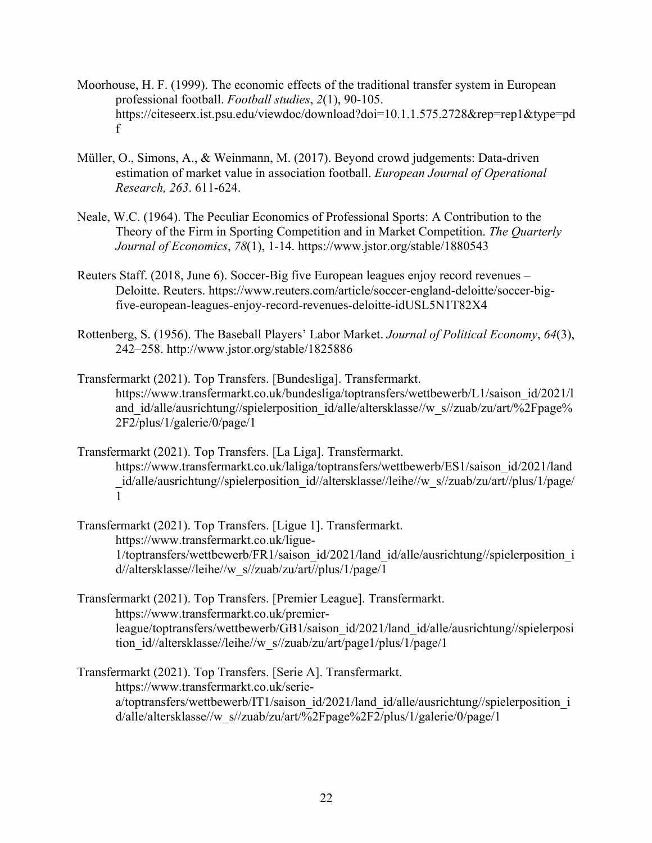- Moorhouse, H. F. (1999). The economic effects of the traditional transfer system in European professional football. *Football studies*, *2*(1), 90-105. https://citeseerx.ist.psu.edu/viewdoc/download?doi=10.1.1.575.2728&rep=rep1&type=pd f
- Müller, O., Simons, A., & Weinmann, M. (2017). Beyond crowd judgements: Data-driven estimation of market value in association football. *European Journal of Operational Research, 263*. 611-624.
- Neale, W.C. (1964). The Peculiar Economics of Professional Sports: A Contribution to the Theory of the Firm in Sporting Competition and in Market Competition. *The Quarterly Journal of Economics*, *78*(1), 1-14. https://www.jstor.org/stable/1880543
- Reuters Staff. (2018, June 6). Soccer-Big five European leagues enjoy record revenues Deloitte. Reuters. https://www.reuters.com/article/soccer-england-deloitte/soccer-bigfive-european-leagues-enjoy-record-revenues-deloitte-idUSL5N1T82X4
- Rottenberg, S. (1956). The Baseball Players' Labor Market. *Journal of Political Economy*, *64*(3), 242–258. http://www.jstor.org/stable/1825886
- Transfermarkt (2021). Top Transfers. [Bundesliga]. Transfermarkt. https://www.transfermarkt.co.uk/bundesliga/toptransfers/wettbewerb/L1/saison\_id/2021/l and id/alle/ausrichtung//spielerposition id/alle/altersklasse//w\_s//zuab/zu/art/%2Fpage% 2F2/plus/1/galerie/0/page/1
- Transfermarkt (2021). Top Transfers. [La Liga]. Transfermarkt. https://www.transfermarkt.co.uk/laliga/toptransfers/wettbewerb/ES1/saison\_id/2021/land id/alle/ausrichtung//spielerposition\_id//altersklasse//leihe//w\_s//zuab/zu/art//plus/1/page/ 1
- Transfermarkt (2021). Top Transfers. [Ligue 1]. Transfermarkt. https://www.transfermarkt.co.uk/ligue-1/toptransfers/wettbewerb/FR1/saison\_id/2021/land\_id/alle/ausrichtung//spielerposition\_i d//altersklasse//leihe//w\_s//zuab/zu/art//plus/1/page/1
- Transfermarkt (2021). Top Transfers. [Premier League]. Transfermarkt. https://www.transfermarkt.co.uk/premierleague/toptransfers/wettbewerb/GB1/saison\_id/2021/land\_id/alle/ausrichtung//spielerposi tion\_id//altersklasse//leihe//w\_s//zuab/zu/art/page1/plus/1/page/1
- Transfermarkt (2021). Top Transfers. [Serie A]. Transfermarkt. https://www.transfermarkt.co.uk/seriea/toptransfers/wettbewerb/IT1/saison\_id/2021/land\_id/alle/ausrichtung//spielerposition\_i d/alle/altersklasse//w\_s//zuab/zu/art/%2Fpage%2F2/plus/1/galerie/0/page/1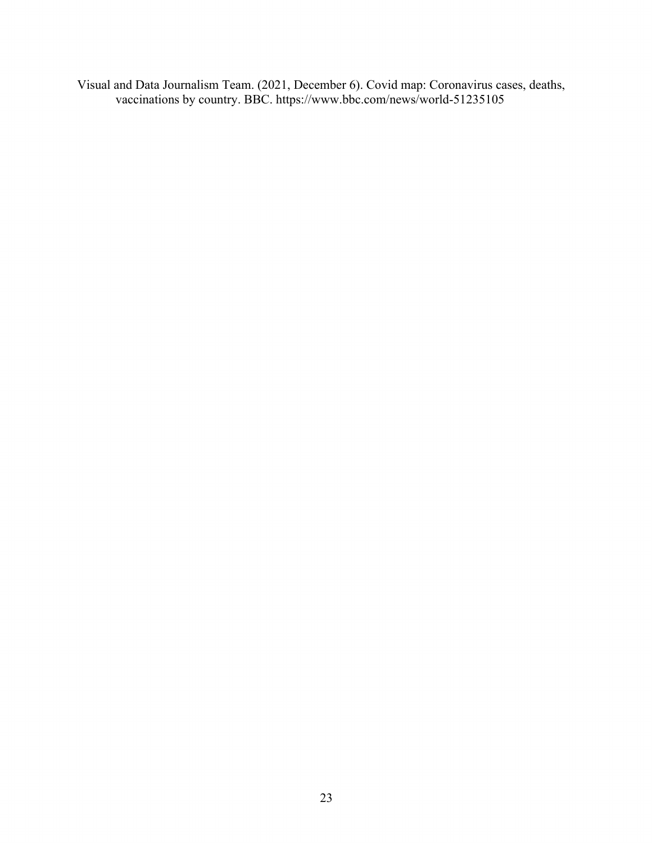Visual and Data Journalism Team. (2021, December 6). Covid map: Coronavirus cases, deaths, vaccinations by country. BBC. https://www.bbc.com/news/world-51235105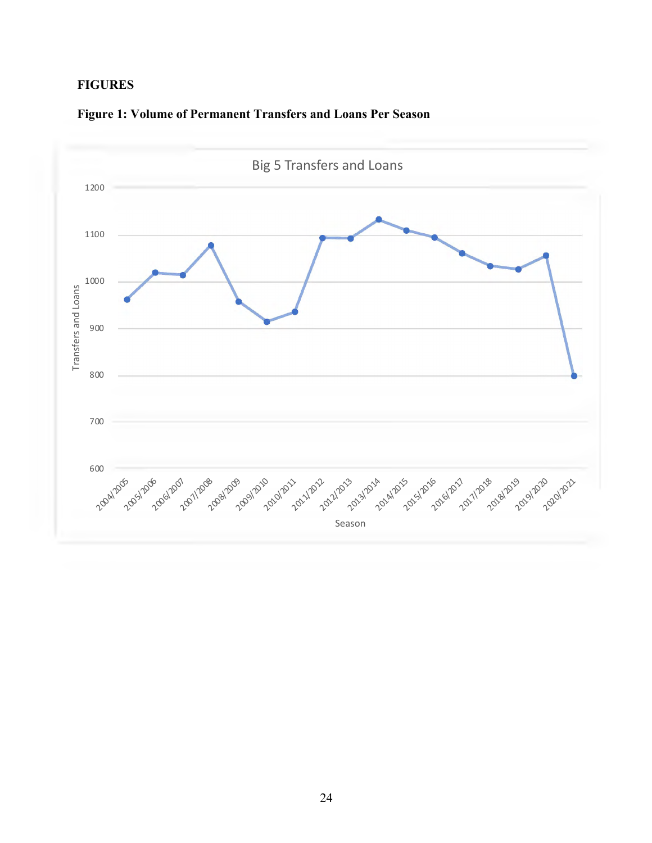# **FIGURES**



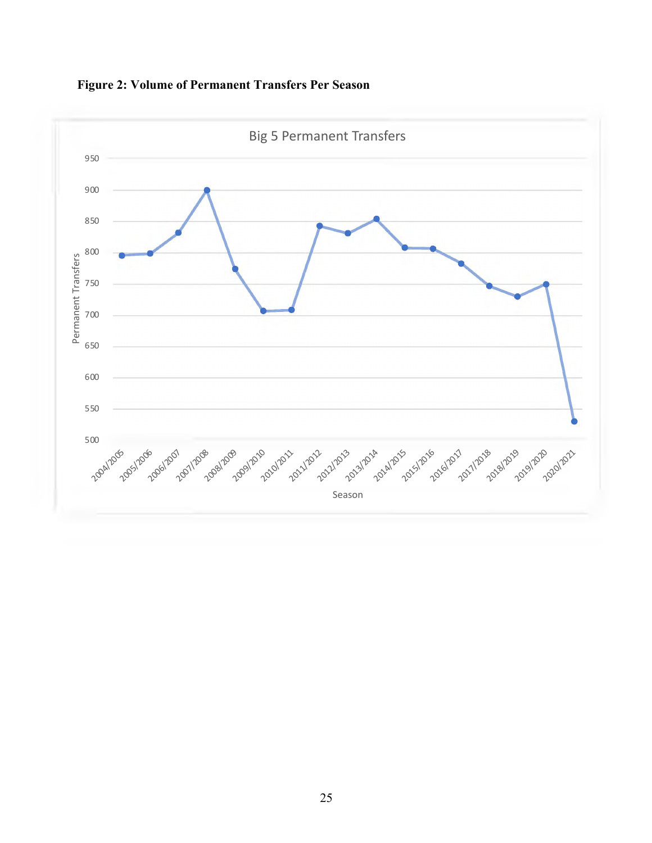

**Figure 2: Volume of Permanent Transfers Per Season**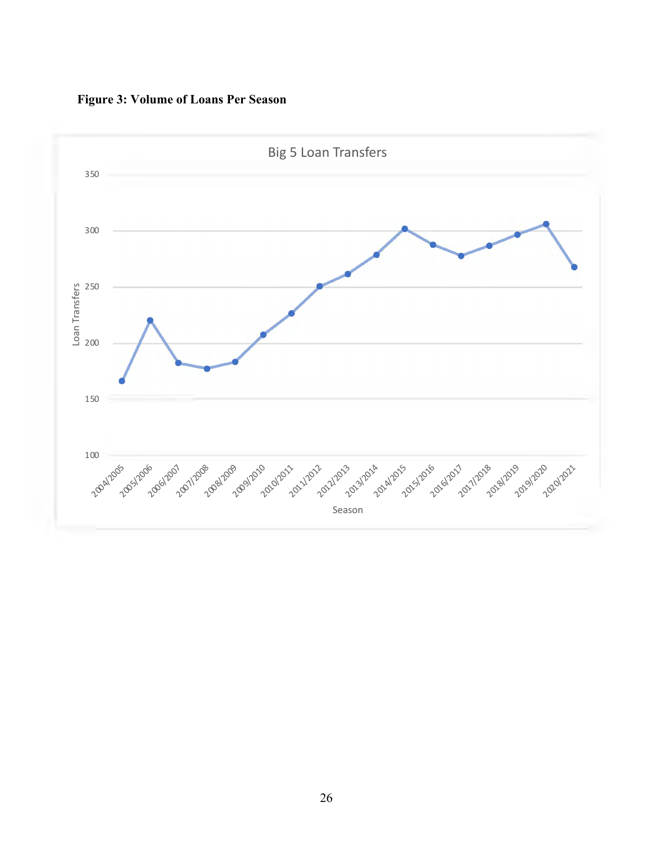

**Figure 3: Volume of Loans Per Season**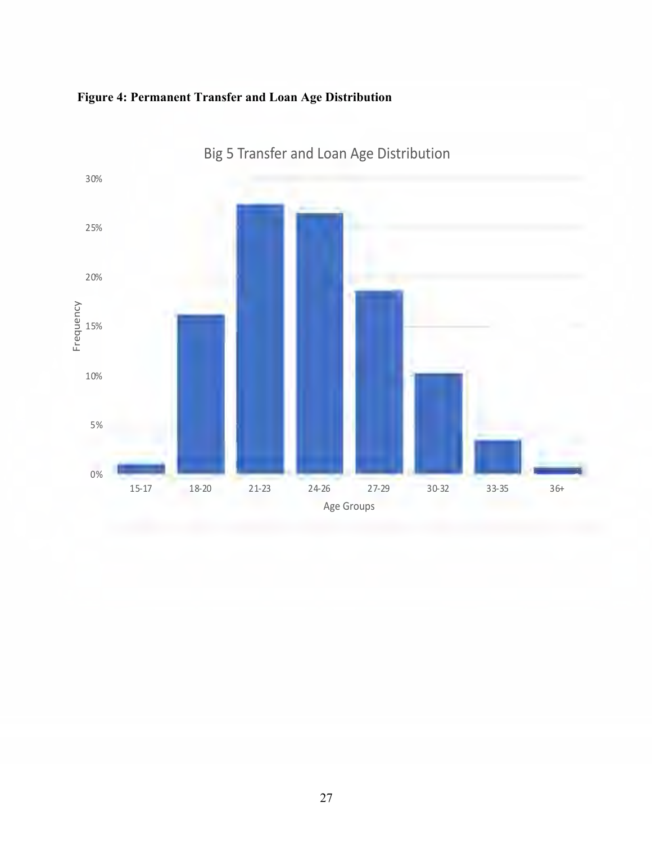



Big 5 Transfer and Loan Age Distribution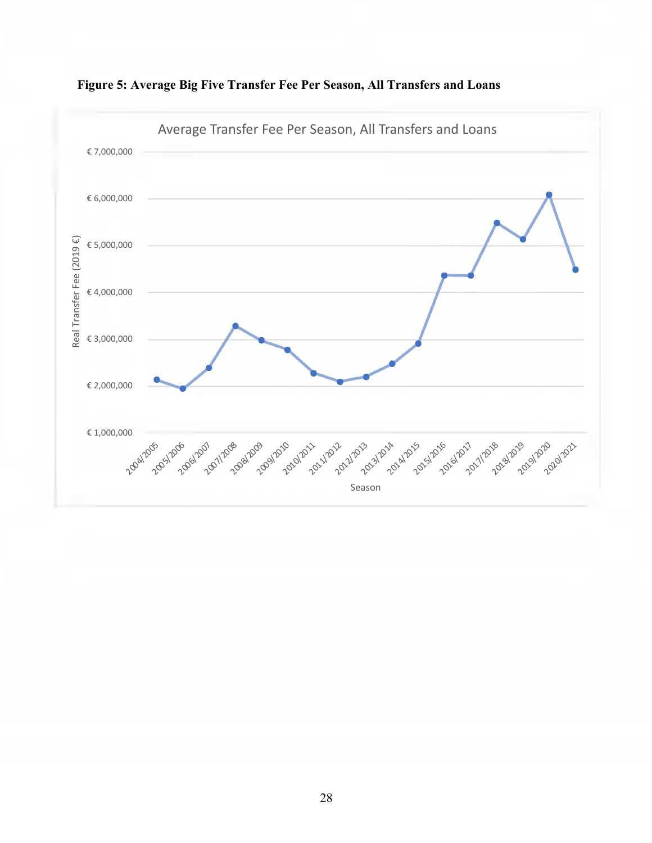

**Figure 5: Average Big Five Transfer Fee Per Season, All Transfers and Loans**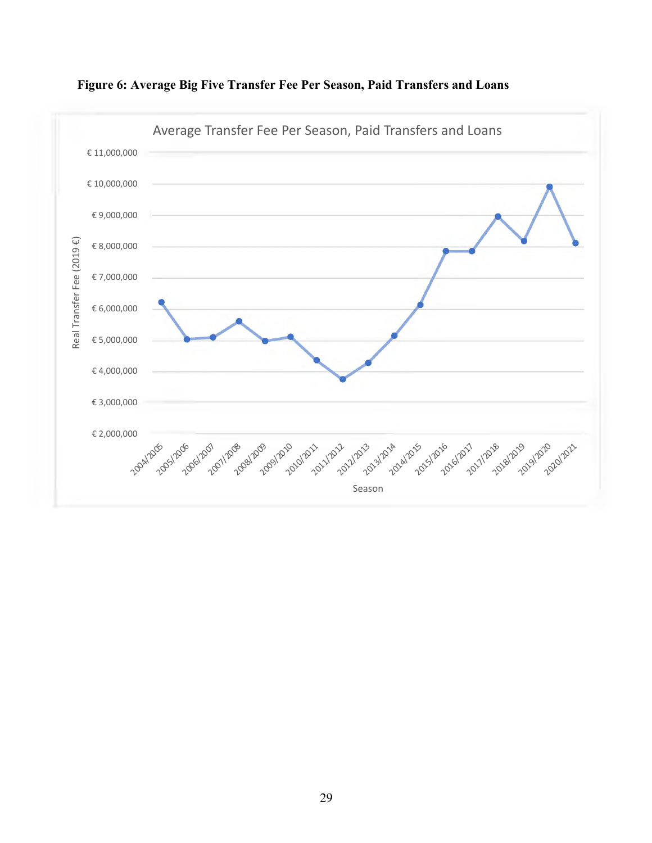

**Figure 6: Average Big Five Transfer Fee Per Season, Paid Transfers and Loans**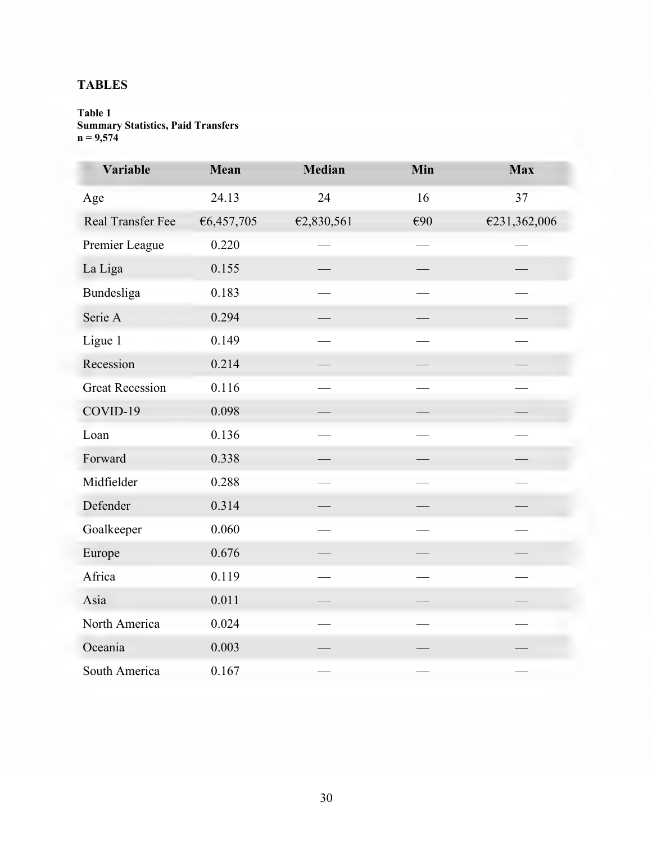# **TABLES**

# **Table 1 Summary Statistics, Paid Transfers**  $n = 9,574$

| Variable               | Mean       | <b>Median</b> | Min | <b>Max</b>   |
|------------------------|------------|---------------|-----|--------------|
| Age                    | 24.13      | 24            | 16  | 37           |
| Real Transfer Fee      | €6,457,705 | €2,830,561    | €90 | €231,362,006 |
| Premier League         | 0.220      |               |     |              |
| La Liga                | 0.155      |               |     |              |
| Bundesliga             | 0.183      |               |     |              |
| Serie A                | 0.294      |               |     |              |
| Ligue 1                | 0.149      |               |     |              |
| Recession              | 0.214      |               |     |              |
| <b>Great Recession</b> | 0.116      |               |     |              |
| COVID-19               | 0.098      |               |     |              |
| Loan                   | 0.136      |               |     |              |
| Forward                | 0.338      |               |     |              |
| Midfielder             | 0.288      |               |     |              |
| Defender               | 0.314      |               |     |              |
| Goalkeeper             | 0.060      |               |     |              |
| Europe                 | 0.676      |               |     |              |
| Africa                 | 0.119      |               |     |              |
| Asia                   | 0.011      |               |     |              |
| North America          | 0.024      |               |     |              |
| Oceania                | 0.003      |               |     |              |
| South America          | 0.167      |               |     |              |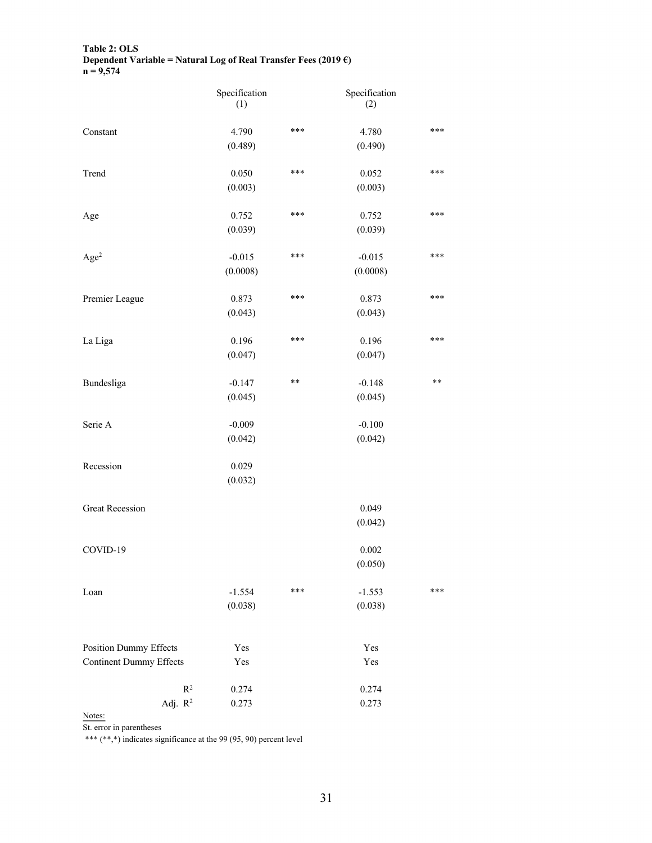### **Table 2: OLS Dependent Variable = Natural Log of Real Transfer Fees (2019 €) n = 9,574**

|                                | Specification<br>(1) |                 | Specification<br>(2) |              |
|--------------------------------|----------------------|-----------------|----------------------|--------------|
| Constant                       | 4.790                | ***             | 4.780                | $***$        |
|                                | (0.489)              |                 | (0.490)              |              |
| Trend                          | 0.050                | ***             | 0.052                | ***          |
|                                | (0.003)              |                 | (0.003)              |              |
| Age                            | 0.752                | ***             | 0.752                | $***$        |
|                                | (0.039)              |                 | (0.039)              |              |
| Age <sup>2</sup>               | $-0.015$             | ***             | $-0.015$             | ***          |
|                                | (0.0008)             |                 | (0.0008)             |              |
| Premier League                 | 0.873                | ***             | 0.873                | $***$        |
|                                | (0.043)              |                 | (0.043)              |              |
| La Liga                        | 0.196                | ***             | 0.196                | ***          |
|                                | (0.047)              |                 | (0.047)              |              |
| Bundesliga                     | $-0.147$             | $\star$ $\star$ | $-0.148$             | $\star\star$ |
|                                | (0.045)              |                 | (0.045)              |              |
| Serie A                        | $-0.009$             |                 | $-0.100$             |              |
|                                | (0.042)              |                 | (0.042)              |              |
| Recession                      | 0.029                |                 |                      |              |
|                                | (0.032)              |                 |                      |              |
| <b>Great Recession</b>         |                      |                 | 0.049                |              |
|                                |                      |                 | (0.042)              |              |
| COVID-19                       |                      |                 | 0.002                |              |
|                                |                      |                 | (0.050)              |              |
| Loan                           | $-1.554$             | ***             | $-1.553$             | ***          |
|                                | (0.038)              |                 | (0.038)              |              |
| <b>Position Dummy Effects</b>  | Yes                  |                 | Yes                  |              |
| <b>Continent Dummy Effects</b> | Yes                  |                 | Yes                  |              |
| $\mathbb{R}^2$                 | 0.274                |                 | 0.274                |              |
| Adj. $R^2$                     | 0.273                |                 | 0.273                |              |

Notes:

St. error in parentheses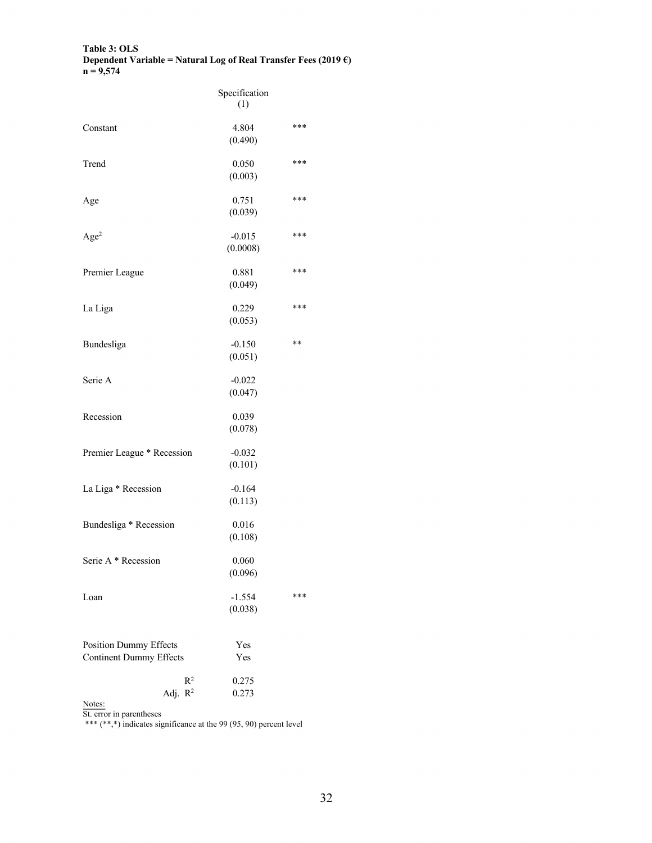### **Table 3: OLS Dependent Variable = Natural Log of Real Transfer Fees (2019 €) n = 9,574**

|                                                                 | Specification<br>(1) |     |
|-----------------------------------------------------------------|----------------------|-----|
| Constant                                                        | 4.804<br>(0.490)     | *** |
| Trend                                                           | 0.050<br>(0.003)     | *** |
| Age                                                             | 0.751<br>(0.039)     | *** |
| Age <sup>2</sup>                                                | $-0.015$<br>(0.0008) | *** |
| Premier League                                                  | 0.881<br>(0.049)     | *** |
| La Liga                                                         | 0.229<br>(0.053)     | *** |
| Bundesliga                                                      | $-0.150$<br>(0.051)  | **  |
| Serie A                                                         | $-0.022$<br>(0.047)  |     |
| Recession                                                       | 0.039<br>(0.078)     |     |
| Premier League * Recession                                      | $-0.032$<br>(0.101)  |     |
| La Liga * Recession                                             | $-0.164$<br>(0.113)  |     |
| Bundesliga * Recession                                          | 0.016<br>(0.108)     |     |
| Serie A * Recession                                             | 0.060<br>(0.096)     |     |
| Loan                                                            | $-1.554$<br>(0.038)  | *** |
| <b>Position Dummy Effects</b><br><b>Continent Dummy Effects</b> | Yes<br>Yes           |     |
| $R^2$<br>Adj. $R^2$                                             | 0.275<br>0.273       |     |

Notes:  $\frac{\text{N}}{\text{N}}$ 

St. error in parentheses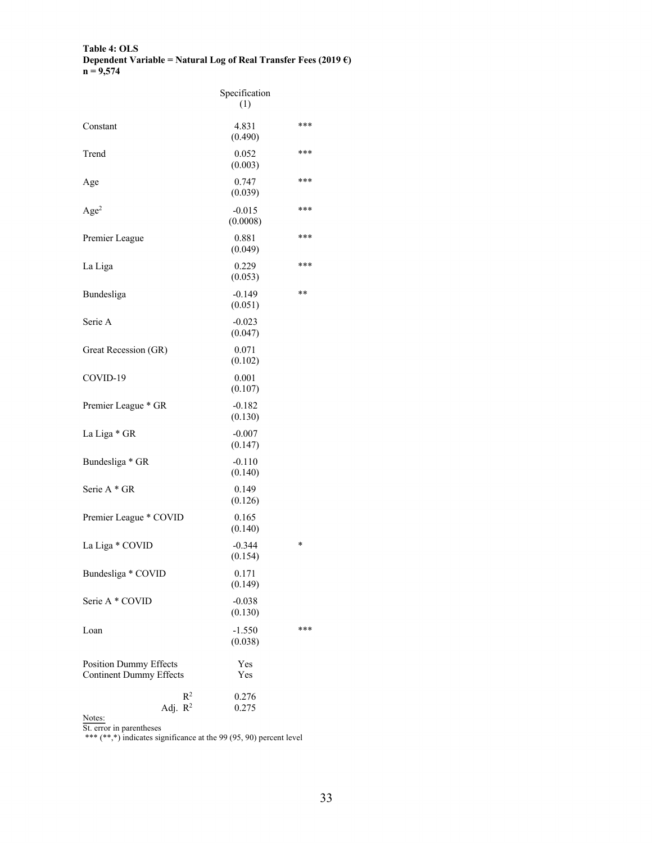### **Table 4: OLS Dependent Variable = Natural Log of Real Transfer Fees (2019 €) n = 9,574**

|                                                                 | Specification<br>(1) |     |
|-----------------------------------------------------------------|----------------------|-----|
| Constant                                                        | 4.831<br>(0.490)     | *** |
| Trend                                                           | 0.052<br>(0.003)     | *** |
| Age                                                             | 0.747<br>(0.039)     | *** |
| Age <sup>2</sup>                                                | $-0.015$<br>(0.0008) | *** |
| Premier League                                                  | 0.881<br>(0.049)     | *** |
| La Liga                                                         | 0.229<br>(0.053)     | *** |
| Bundesliga                                                      | $-0.149$<br>(0.051)  | **  |
| Serie A                                                         | $-0.023$<br>(0.047)  |     |
| Great Recession (GR)                                            | 0.071<br>(0.102)     |     |
| COVID-19                                                        | 0.001<br>(0.107)     |     |
| Premier League * GR                                             | $-0.182$<br>(0.130)  |     |
| La Liga * GR                                                    | $-0.007$<br>(0.147)  |     |
| Bundesliga * GR                                                 | $-0.110$<br>(0.140)  |     |
| Serie A * GR                                                    | 0.149<br>(0.126)     |     |
| Premier League * COVID                                          | 0.165<br>(0.140)     |     |
| La Liga * COVID                                                 | $-0.344$<br>(0.154)  | *   |
| Bundesliga * COVID                                              | 0.171<br>(0.149)     |     |
| Serie A * COVID                                                 | $-0.038$<br>(0.130)  |     |
| Loan                                                            | $-1.550$<br>(0.038)  | *** |
| <b>Position Dummy Effects</b><br><b>Continent Dummy Effects</b> | Yes<br>Yes           |     |
| $R^2$<br>Adj. $R^2$                                             | 0.276<br>0.275       |     |

Notes:  $\frac{\text{N}}{\text{N}}$ 

St. error in parentheses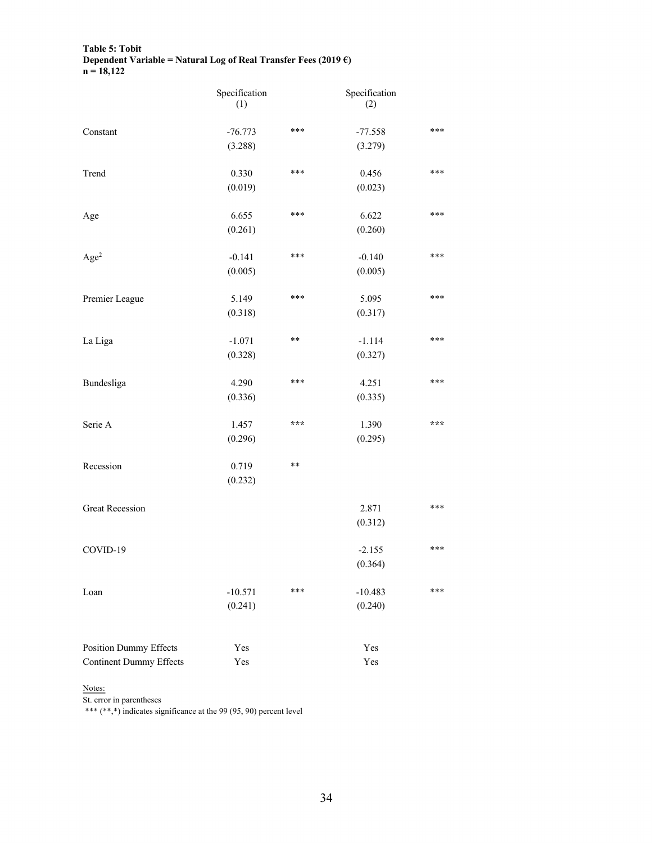### **Table 5: Tobit Dependent Variable = Natural Log of Real Transfer Fees (2019 €) n = 18,122**

|                                | Specification<br>(1) |                 | Specification<br>(2) |     |
|--------------------------------|----------------------|-----------------|----------------------|-----|
| Constant                       | $-76.773$            | $***$           | $-77.558$            | *** |
|                                | (3.288)              |                 | (3.279)              |     |
| Trend                          | 0.330                | ***             | 0.456                | *** |
|                                | (0.019)              |                 | (0.023)              |     |
| Age                            | 6.655                | ***             | 6.622                | *** |
|                                | (0.261)              |                 | (0.260)              |     |
| Age <sup>2</sup>               | $-0.141$             | ***             | $-0.140$             | *** |
|                                | (0.005)              |                 | (0.005)              |     |
| Premier League                 | 5.149                | ***             | 5.095                | *** |
|                                | (0.318)              |                 | (0.317)              |     |
| La Liga                        | $-1.071$             | $\star$ $\star$ | $-1.114$             | *** |
|                                | (0.328)              |                 | (0.327)              |     |
| Bundesliga                     | 4.290                | ***             | 4.251                | *** |
|                                | (0.336)              |                 | (0.335)              |     |
| Serie A                        | 1.457                | ***             | 1.390                | *** |
|                                | (0.296)              |                 | (0.295)              |     |
| Recession                      | 0.719                | $\star$ $\star$ |                      |     |
|                                | (0.232)              |                 |                      |     |
| <b>Great Recession</b>         |                      |                 | 2.871                | *** |
|                                |                      |                 | (0.312)              |     |
| COVID-19                       |                      |                 | $-2.155$             | *** |
|                                |                      |                 | (0.364)              |     |
| Loan                           | $-10.571$            | ***             | $-10.483$            | *** |
|                                | (0.241)              |                 | (0.240)              |     |
| Position Dummy Effects         | Yes                  |                 | Yes                  |     |
| <b>Continent Dummy Effects</b> | Yes                  |                 | Yes                  |     |

# Notes:

St. error in parentheses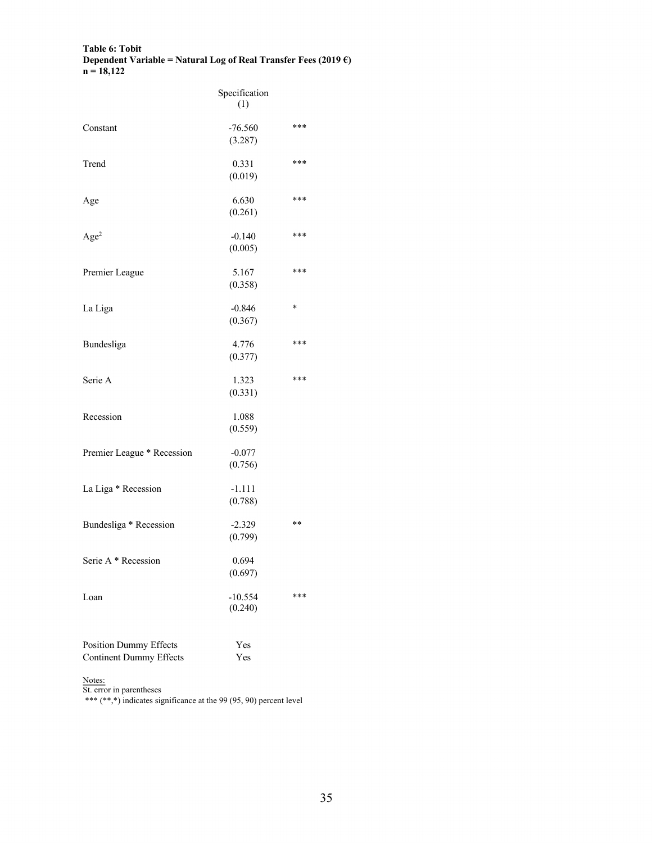### **Table 6: Tobit Dependent Variable = Natural Log of Real Transfer Fees (2019 €) n = 18,122**

|                                                                 | Specification<br>(1) |        |
|-----------------------------------------------------------------|----------------------|--------|
| Constant                                                        | $-76.560$<br>(3.287) | ***    |
| Trend                                                           | 0.331<br>(0.019)     | ***    |
| Age                                                             | 6.630<br>(0.261)     | ***    |
| Age <sup>2</sup>                                                | $-0.140$<br>(0.005)  | ***    |
| Premier League                                                  | 5.167<br>(0.358)     | ***    |
| La Liga                                                         | $-0.846$<br>(0.367)  | $\ast$ |
| Bundesliga                                                      | 4.776<br>(0.377)     | ***    |
| Serie A                                                         | 1.323<br>(0.331)     | ***    |
| Recession                                                       | 1.088<br>(0.559)     |        |
| Premier League * Recession                                      | $-0.077$<br>(0.756)  |        |
| La Liga * Recession                                             | $-1.111$<br>(0.788)  |        |
| Bundesliga * Recession                                          | $-2.329$<br>(0.799)  | **     |
| Serie A * Recession                                             | 0.694<br>(0.697)     |        |
| Loan                                                            | $-10.554$<br>(0.240) | ***    |
| <b>Position Dummy Effects</b><br><b>Continent Dummy Effects</b> | Yes<br>Yes           |        |

Notes:  $\frac{\text{N}}{\text{N}}$ 

St. error in parentheses